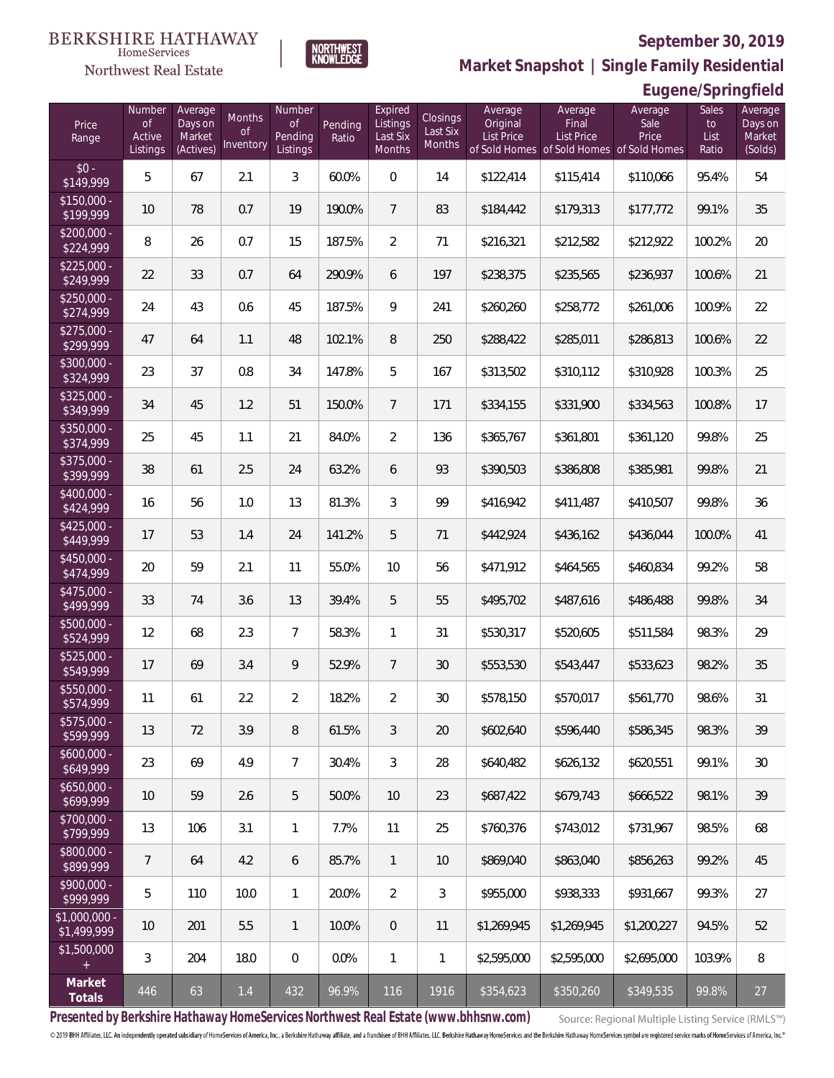**Eugene/Springfield**



**Market Snapshot | Single Family Residential**

#### HomeServices Northwest Real Estate

| Price<br>Range                                  | Number<br><b>of</b><br>Active<br>Listings | Average<br>Days on<br>Market<br>(Actives) | Months<br><b>of</b><br>Inventory | Number<br><b>of</b><br>Pending<br>Listings | Pending<br>Ratio | Expired<br>Listings<br>Last Six<br>Months | Closings<br>Last Six<br>Months | Average<br>Original<br><b>List Price</b> | Average<br>Final<br><b>List Price</b> | Average<br>Sale<br>Price<br>of Sold Homes of Sold Homes of Sold Homes | Sales<br>to<br>List<br>Ratio | Average<br>Days on<br>Market<br>(Solds) |
|-------------------------------------------------|-------------------------------------------|-------------------------------------------|----------------------------------|--------------------------------------------|------------------|-------------------------------------------|--------------------------------|------------------------------------------|---------------------------------------|-----------------------------------------------------------------------|------------------------------|-----------------------------------------|
| $$0 -$<br>\$149,999                             | 5                                         | 67                                        | 2.1                              | 3                                          | 60.0%            | $\overline{0}$                            | 14                             | \$122,414                                | \$115,414                             | \$110,066                                                             | 95.4%                        | 54                                      |
| $$150,000 -$<br>\$199,999                       | 10                                        | 78                                        | 0.7                              | 19                                         | 190.0%           | $\overline{7}$                            | 83                             | \$184,442                                | \$179,313                             | \$177,772                                                             | 99.1%                        | 35                                      |
| $$200,000 -$<br>\$224,999                       | 8                                         | 26                                        | 0.7                              | 15                                         | 187.5%           | $\overline{2}$                            | 71                             | \$216,321                                | \$212,582                             | \$212,922                                                             | 100.2%                       | 20                                      |
| $$225,000 -$<br>\$249,999                       | 22                                        | 33                                        | 0.7                              | 64                                         | 290.9%           | 6                                         | 197                            | \$238,375                                | \$235,565                             | \$236,937                                                             | 100.6%                       | 21                                      |
| $$250,000 -$<br>\$274,999                       | 24                                        | 43                                        | 0.6                              | 45                                         | 187.5%           | 9                                         | 241                            | \$260,260                                | \$258,772                             | \$261,006                                                             | 100.9%                       | 22                                      |
| $$275,000 -$<br>\$299,999                       | 47                                        | 64                                        | 1.1                              | 48                                         | 102.1%           | 8                                         | 250                            | \$288,422                                | \$285,011                             | \$286,813                                                             | 100.6%                       | 22                                      |
| $$300,000 -$<br>\$324,999                       | 23                                        | 37                                        | 0.8                              | 34                                         | 147.8%           | 5                                         | 167                            | \$313,502                                | \$310,112                             | \$310,928                                                             | 100.3%                       | 25                                      |
| $$325,000 -$<br>\$349,999                       | 34                                        | 45                                        | 1.2                              | 51                                         | 150.0%           | $\overline{7}$                            | 171                            | \$334,155                                | \$331,900                             | \$334,563                                                             | 100.8%                       | 17                                      |
| $$350,000 -$<br>\$374,999                       | 25                                        | 45                                        | 1.1                              | 21                                         | 84.0%            | $\overline{2}$                            | 136                            | \$365,767                                | \$361,801                             | \$361,120                                                             | 99.8%                        | 25                                      |
| $$375,000 -$<br>\$399,999                       | 38                                        | 61                                        | 2.5                              | 24                                         | 63.2%            | 6                                         | 93                             | \$390,503                                | \$386,808                             | \$385,981                                                             | 99.8%                        | 21                                      |
| $$400,000 -$<br>\$424,999                       | 16                                        | 56                                        | 1.0                              | 13                                         | 81.3%            | 3                                         | 99                             | \$416,942                                | \$411,487                             | \$410,507                                                             | 99.8%                        | 36                                      |
| $$425,000 -$<br>\$449,999                       | 17                                        | 53                                        | 1.4                              | 24                                         | 141.2%           | 5                                         | 71                             | \$442,924                                | \$436,162                             | \$436,044                                                             | 100.0%                       | 41                                      |
| $$450,000 -$<br>\$474,999                       | 20                                        | 59                                        | 2.1                              | 11                                         | 55.0%            | 10                                        | 56                             | \$471,912                                | \$464,565                             | \$460,834                                                             | 99.2%                        | 58                                      |
| $$475,000 -$<br>\$499,999                       | 33                                        | 74                                        | 3.6                              | 13                                         | 39.4%            | 5                                         | 55                             | \$495,702                                | \$487,616                             | \$486,488                                                             | 99.8%                        | 34                                      |
| $$500,000 -$<br>\$524,999                       | 12                                        | 68                                        | 2.3                              | $\overline{7}$                             | 58.3%            | 1                                         | 31                             | \$530,317                                | \$520,605                             | \$511,584                                                             | 98.3%                        | 29                                      |
| $$525,000 -$<br>\$549,999                       | 17                                        | 69                                        | 3.4                              | 9                                          | 52.9%            | $\overline{7}$                            | 30                             | \$553,530                                | \$543,447                             | \$533,623                                                             | 98.2%                        | 35                                      |
| $$550,000 -$<br>\$574,999                       | 11                                        | 61                                        | 2.2                              | $\overline{2}$                             | 18.2%            | $\overline{2}$                            | 30                             | \$578,150                                | \$570,017                             | \$561,770                                                             | 98.6%                        | 31                                      |
| $$575,000 -$<br>\$599,999                       | 13                                        | 72                                        | 3.9                              | 8                                          | 61.5%            | 3                                         | $20\,$                         | \$602,640                                | \$596,440                             | \$586,345                                                             | 98.3%                        | 39                                      |
| $$600,000 -$<br>\$649,999                       | 23                                        | 69                                        | 4.9                              | $\overline{7}$                             | 30.4%            | 3                                         | 28                             | \$640,482                                | \$626,132                             | \$620,551                                                             | 99.1%                        | 30                                      |
| $$650,000 -$<br>\$699,999                       | 10                                        | 59                                        | 2.6                              | 5                                          | 50.0%            | 10                                        | 23                             | \$687,422                                | \$679,743                             | \$666,522                                                             | 98.1%                        | 39                                      |
| $$700,000 -$<br>\$799,999                       | 13                                        | 106                                       | 3.1                              | $\mathbf{1}$                               | 7.7%             | 11                                        | 25                             | \$760,376                                | \$743,012                             | \$731,967                                                             | 98.5%                        | 68                                      |
| \$800,000 -<br>\$899,999                        | $\overline{7}$                            | 64                                        | 4.2                              | 6                                          | 85.7%            | $\mathbf{1}$                              | 10                             | \$869,040                                | \$863,040                             | \$856,263                                                             | 99.2%                        | 45                                      |
| $$900,000 -$<br>\$999,999                       | 5                                         | 110                                       | 10.0                             | $\mathbf{1}$                               | 20.0%            | 2                                         | 3                              | \$955,000                                | \$938,333                             | \$931,667                                                             | 99.3%                        | 27                                      |
| \$1,000,000 -<br>\$1,499,999                    | 10                                        | 201                                       | 5.5                              | $\mathbf{1}$                               | 10.0%            | $\overline{0}$                            | 11                             | \$1,269,945                              | \$1,269,945                           | \$1,200,227                                                           | 94.5%                        | 52                                      |
| \$1,500,000<br>$\begin{array}{c} + \end{array}$ | $\mathfrak{Z}$                            | 204                                       | 18.0                             | 0                                          | 0.0%             | $\mathbf{1}$                              | 1                              | \$2,595,000                              | \$2,595,000                           | \$2,695,000                                                           | 103.9%                       | 8                                       |
| Market<br>Totals                                | 446                                       | 63                                        | 1.4                              | 432                                        | 96.9%            | 116                                       | 1916                           | \$354,623                                | \$350,260                             | \$349,535                                                             | 99.8%                        | 27                                      |

**Presented by Berkshire Hathaway HomeServices Northwest Real Estate (www.bhhsnw.com)**

Source: Regional Multiple Listing Service (RMLS™)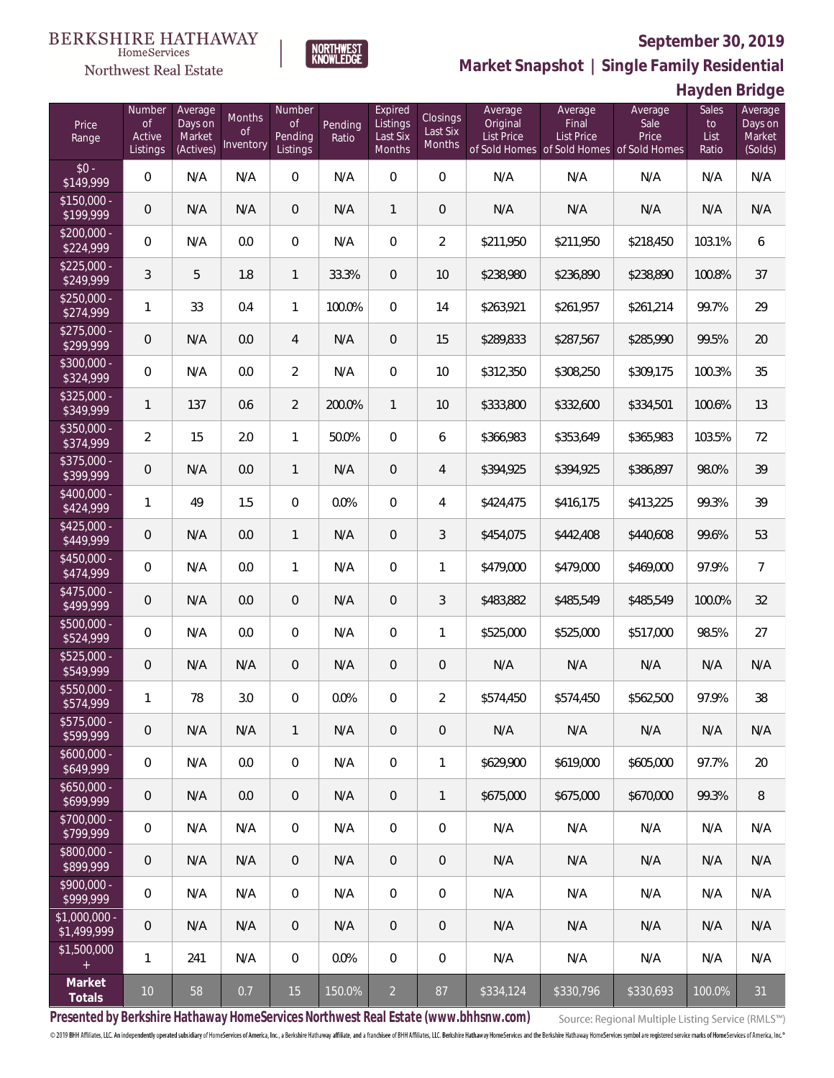

**NORTHWEST**<br>KNOWLEDGE

Northwest Real Estate

**Market Snapshot | Single Family Residential**

**Hayden Bridge**

| Price<br>Range               | Number<br>of<br>Active<br>Listings | Average<br>Days on<br>Market<br>(Actives) | <b>Months</b><br>0f<br>Inventory | Number<br><b>of</b><br>Pending<br>Listings | Pending<br>Ratio | Expired<br>Listings<br>Last Six<br>Months | Closings<br>Last Six<br><b>Months</b> | Average<br>Original<br>List Price | Average<br>Final<br><b>List Price</b><br>of Sold Homes of Sold Homes of Sold Homes | Average<br>Sale<br>Price | Sales<br>to<br>List<br>Ratio | Average<br>Days on<br>Market<br>(Solds) |
|------------------------------|------------------------------------|-------------------------------------------|----------------------------------|--------------------------------------------|------------------|-------------------------------------------|---------------------------------------|-----------------------------------|------------------------------------------------------------------------------------|--------------------------|------------------------------|-----------------------------------------|
| $$0 -$<br>\$149,999          | $\overline{0}$                     | N/A                                       | N/A                              | $\overline{0}$                             | N/A              | $\overline{0}$                            | $\overline{0}$                        | N/A                               | N/A                                                                                | N/A                      | N/A                          | N/A                                     |
| $$150,000 -$<br>\$199,999    | 0                                  | N/A                                       | N/A                              | $\overline{0}$                             | N/A              | $\mathbf{1}$                              | $\overline{0}$                        | N/A                               | N/A                                                                                | N/A                      | N/A                          | N/A                                     |
| $$200,000 -$<br>\$224,999    | $\overline{0}$                     | N/A                                       | 0.0                              | $\overline{0}$                             | N/A              | $\overline{0}$                            | $\overline{2}$                        | \$211,950                         | \$211,950                                                                          | \$218,450                | 103.1%                       | 6                                       |
| $$225,000 -$<br>\$249,999    | 3                                  | 5                                         | 1.8                              | $\mathbf{1}$                               | 33.3%            | $\overline{0}$                            | 10                                    | \$238,980                         | \$236,890                                                                          | \$238,890                | 100.8%                       | 37                                      |
| $$250,000 -$<br>\$274,999    | 1                                  | 33                                        | 0.4                              | $\mathbf{1}$                               | 100.0%           | $\overline{0}$                            | 14                                    | \$263,921                         | \$261,957                                                                          | \$261,214                | 99.7%                        | 29                                      |
| $$275,000 -$<br>\$299,999    | 0                                  | N/A                                       | 0.0                              | 4                                          | N/A              | $\overline{0}$                            | 15                                    | \$289,833                         | \$287,567                                                                          | \$285,990                | 99.5%                        | 20                                      |
| $$300,000 -$<br>\$324,999    | $\overline{0}$                     | N/A                                       | 0.0                              | $\overline{2}$                             | N/A              | $\overline{0}$                            | 10 <sup>°</sup>                       | \$312,350                         | \$308,250                                                                          | \$309,175                | 100.3%                       | 35                                      |
| $$325,000 -$<br>\$349,999    | $\mathbf{1}$                       | 137                                       | 0.6                              | $\overline{2}$                             | 200.0%           | $\mathbf{1}$                              | 10                                    | \$333,800                         | \$332,600                                                                          | \$334,501                | 100.6%                       | 13                                      |
| $$350,000 -$<br>\$374,999    | $\overline{2}$                     | 15                                        | 2.0                              | $\mathbf{1}$                               | 50.0%            | $\overline{0}$                            | 6                                     | \$366,983                         | \$353,649                                                                          | \$365,983                | 103.5%                       | 72                                      |
| $$375,000 -$<br>\$399,999    | 0                                  | N/A                                       | 0.0                              | $\mathbf{1}$                               | N/A              | $\overline{0}$                            | $\overline{4}$                        | \$394,925                         | \$394,925                                                                          | \$386,897                | 98.0%                        | 39                                      |
| $$400,000 -$<br>\$424,999    | 1                                  | 49                                        | 1.5                              | $\overline{0}$                             | 0.0%             | $\overline{0}$                            | $\overline{4}$                        | \$424,475                         | \$416,175                                                                          | \$413,225                | 99.3%                        | 39                                      |
| $$425,000 -$<br>\$449,999    | 0                                  | N/A                                       | 0.0                              | $\mathbf{1}$                               | N/A              | $\overline{0}$                            | 3                                     | \$454,075                         | \$442,408                                                                          | \$440,608                | 99.6%                        | 53                                      |
| $$450,000 -$<br>\$474,999    | $\overline{0}$                     | N/A                                       | 0.0                              | $\mathbf{1}$                               | N/A              | $\overline{0}$                            | $\mathbf{1}$                          | \$479,000                         | \$479,000                                                                          | \$469,000                | 97.9%                        | $\overline{7}$                          |
| $$475,000 -$<br>\$499,999    | $\overline{0}$                     | N/A                                       | 0.0                              | $\overline{0}$                             | N/A              | $\overline{0}$                            | 3                                     | \$483,882                         | \$485,549                                                                          | \$485,549                | 100.0%                       | 32                                      |
| $$500,000 -$<br>\$524,999    | $\overline{0}$                     | N/A                                       | 0.0                              | $\overline{0}$                             | N/A              | $\overline{0}$                            | $\mathbf{1}$                          | \$525,000                         | \$525,000                                                                          | \$517,000                | 98.5%                        | 27                                      |
| $$525,000 -$<br>\$549,999    | 0                                  | N/A                                       | N/A                              | $\overline{0}$                             | N/A              | $\overline{0}$                            | $\mathbf 0$                           | N/A                               | N/A                                                                                | N/A                      | N/A                          | N/A                                     |
| $$550,000 -$<br>\$574,999    | 1                                  | 78                                        | 3.0                              | $\overline{0}$                             | 0.0%             | $\overline{0}$                            | $\overline{2}$                        | \$574,450                         | \$574,450                                                                          | \$562,500                | 97.9%                        | 38                                      |
| $$575,000 -$<br>\$599,999    | 0                                  | N/A                                       | N/A                              | $\mathbf{1}$                               | N/A              | $\overline{0}$                            | 0                                     | N/A                               | N/A                                                                                | N/A                      | N/A                          | N/A                                     |
| $$600,000 -$<br>\$649,999    | $\mathbf 0$                        | N/A                                       | 0.0                              | $\mathbf 0$                                | N/A              | $\mathbf 0$                               | 1                                     | \$629,900                         | \$619,000                                                                          | \$605,000                | 97.7%                        | 20                                      |
| $$650,000 -$<br>\$699,999    | $\mathsf{O}\xspace$                | N/A                                       | 0.0                              | $\overline{0}$                             | N/A              | $\overline{0}$                            | $\mathbf{1}$                          | \$675,000                         | \$675,000                                                                          | \$670,000                | 99.3%                        | 8                                       |
| $$700,000 -$<br>\$799,999    | 0                                  | N/A                                       | N/A                              | $\overline{0}$                             | N/A              | $\mathbf 0$                               | 0                                     | N/A                               | N/A                                                                                | N/A                      | N/A                          | N/A                                     |
| $$800,000 -$<br>\$899,999    | $\theta$                           | N/A                                       | N/A                              | $\overline{0}$                             | N/A              | $\overline{0}$                            | 0                                     | N/A                               | N/A                                                                                | N/A                      | N/A                          | N/A                                     |
| \$900,000 -<br>\$999,999     | $\mathbb O$                        | N/A                                       | N/A                              | $\overline{0}$                             | N/A              | $\mathbf 0$                               | 0                                     | N/A                               | N/A                                                                                | N/A                      | N/A                          | N/A                                     |
| \$1,000,000 -<br>\$1,499,999 | $\mathbf 0$                        | N/A                                       | N/A                              | $\overline{0}$                             | N/A              | $\overline{0}$                            | 0                                     | N/A                               | N/A                                                                                | N/A                      | N/A                          | N/A                                     |
| \$1,500,000<br>$\pm$         | 1                                  | 241                                       | N/A                              | $\mathbf 0$                                | 0.0%             | $\mathbf 0$                               | $\mathbf 0$                           | N/A                               | N/A                                                                                | N/A                      | N/A                          | N/A                                     |
| Market<br>Totals             | 10                                 | 58                                        | 0.7                              | 15                                         | 150.0%           | $\overline{2}$                            | 87                                    | \$334,124                         | \$330,796                                                                          | \$330,693                | 100.0%                       | 31                                      |

**Presented by Berkshire Hathaway HomeServices Northwest Real Estate (www.bhhsnw.com)**

Source: Regional Multiple Listing Service (RMLS™)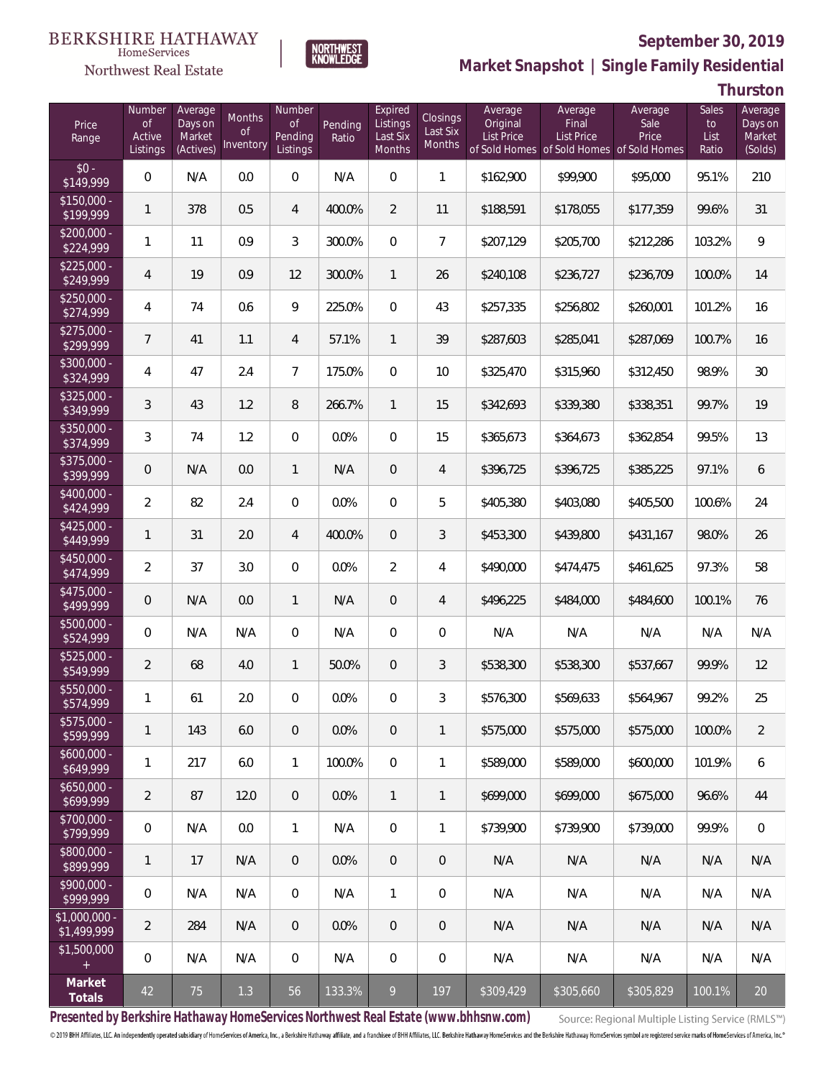

**NORTHWEST**<br>KNOWLEDGE

#### Northwest Real Estate

**Market Snapshot | Single Family Residential**

**Thurston**

| Price<br>Range                   | Number<br>of<br>Active<br>Listings | Average<br>Days on<br>Market<br>(Actives) | Months<br>0f<br>Inventory | Number<br>Οf<br>Pending<br>Listings | Pending<br>Ratio | Expired<br>Listings<br>Last Six<br><b>Months</b> | Closings<br>Last Six<br>Months | Average<br>Original<br><b>List Price</b> | Average<br>Final<br>List Price<br>of Sold Homes of Sold Homes of Sold Homes | Average<br>Sale<br>Price | Sales<br>to<br>List<br>Ratio | Average<br>Days on<br>Market<br>(Solds) |
|----------------------------------|------------------------------------|-------------------------------------------|---------------------------|-------------------------------------|------------------|--------------------------------------------------|--------------------------------|------------------------------------------|-----------------------------------------------------------------------------|--------------------------|------------------------------|-----------------------------------------|
| $$0 -$<br>\$149,999              | 0                                  | N/A                                       | 0.0                       | $\overline{0}$                      | N/A              | $\mathbf{0}$                                     | 1                              | \$162,900                                | \$99,900                                                                    | \$95,000                 | 95.1%                        | 210                                     |
| $\sqrt{$150,000}$ -<br>\$199,999 | $\mathbf{1}$                       | 378                                       | 0.5                       | $\overline{4}$                      | 400.0%           | $\overline{2}$                                   | 11                             | \$188,591                                | \$178,055                                                                   | \$177,359                | 99.6%                        | 31                                      |
| $\sqrt{$200,000}$ -<br>\$224,999 | 1                                  | 11                                        | 0.9                       | 3                                   | 300.0%           | $\mathbf{0}$                                     | $\overline{7}$                 | \$207,129                                | \$205,700                                                                   | \$212,286                | 103.2%                       | $\overline{9}$                          |
| $$225.000 -$<br>\$249,999        | 4                                  | 19                                        | 0.9                       | 12                                  | 300.0%           | $\mathbf{1}$                                     | 26                             | \$240,108                                | \$236,727                                                                   | \$236,709                | 100.0%                       | 14                                      |
| $$250,000 -$<br>\$274,999        | 4                                  | 74                                        | 0.6                       | 9                                   | 225.0%           | $\mathbf{0}$                                     | 43                             | \$257,335                                | \$256,802                                                                   | \$260,001                | 101.2%                       | 16                                      |
| $$275,000 -$<br>\$299,999        | $\overline{7}$                     | 41                                        | 1.1                       | $\overline{4}$                      | 57.1%            | $\mathbf{1}$                                     | 39                             | \$287,603                                | \$285,041                                                                   | \$287,069                | 100.7%                       | 16                                      |
| \$300,000 -<br>\$324,999         | 4                                  | 47                                        | 2.4                       | $\overline{7}$                      | 175.0%           | $\mathbf{0}$                                     | 10                             | \$325,470                                | \$315,960                                                                   | \$312,450                | 98.9%                        | 30                                      |
| $$325,000 -$<br>\$349,999        | 3                                  | 43                                        | 1.2                       | 8                                   | 266.7%           | $\mathbf{1}$                                     | 15                             | \$342,693                                | \$339,380                                                                   | \$338,351                | 99.7%                        | 19                                      |
| \$350,000 -<br>\$374,999         | 3                                  | 74                                        | 1.2                       | $\overline{0}$                      | 0.0%             | $\mathbf{0}$                                     | 15                             | \$365,673                                | \$364,673                                                                   | \$362,854                | 99.5%                        | 13                                      |
| $$375,000 -$<br>\$399,999        | 0                                  | N/A                                       | 0.0                       | $\mathbf{1}$                        | N/A              | $\overline{0}$                                   | 4                              | \$396,725                                | \$396,725                                                                   | \$385,225                | 97.1%                        | 6                                       |
| \$400,000 -<br>\$424,999         | $\overline{2}$                     | 82                                        | 2.4                       | $\overline{0}$                      | 0.0%             | $\overline{0}$                                   | 5                              | \$405,380                                | \$403,080                                                                   | \$405,500                | 100.6%                       | 24                                      |
| $$425,000 -$<br>\$449,999        | 1                                  | 31                                        | 2.0                       | $\overline{4}$                      | 400.0%           | $\overline{0}$                                   | 3                              | \$453,300                                | \$439,800                                                                   | \$431,167                | 98.0%                        | 26                                      |
| \$450,000 -<br>\$474,999         | $\overline{2}$                     | 37                                        | 3.0                       | $\overline{0}$                      | 0.0%             | $\overline{2}$                                   | 4                              | \$490,000                                | \$474,475                                                                   | \$461,625                | 97.3%                        | 58                                      |
| $$475,000 -$<br>\$499,999        | 0                                  | N/A                                       | 0.0                       | $\mathbf{1}$                        | N/A              | $\overline{0}$                                   | 4                              | \$496,225                                | \$484,000                                                                   | \$484,600                | 100.1%                       | 76                                      |
| \$500,000 -<br>\$524,999         | 0                                  | N/A                                       | N/A                       | $\overline{0}$                      | N/A              | $\overline{0}$                                   | 0                              | N/A                                      | N/A                                                                         | N/A                      | N/A                          | N/A                                     |
| $$525,000 -$<br>\$549,999        | $\overline{2}$                     | 68                                        | 4.0                       | $\mathbf{1}$                        | 50.0%            | $\overline{0}$                                   | 3                              | \$538,300                                | \$538,300                                                                   | \$537,667                | 99.9%                        | 12                                      |
| \$550,000 -<br>\$574,999         | 1                                  | 61                                        | 2.0                       | $\overline{0}$                      | 0.0%             | 0                                                | 3                              | \$576,300                                | \$569,633                                                                   | \$564,967                | 99.2%                        | 25                                      |
| $$575,000 -$<br>\$599,999        | 1                                  | 143                                       | 6.0                       | $\theta$                            | 0.0%             | $\overline{0}$                                   | $\mathbf{1}$                   | \$575,000                                | \$575,000                                                                   | \$575,000                | 100.0%                       | $\overline{2}$                          |
| $$600,000 -$<br>\$649,999        | 1                                  | 217                                       | 6.0                       | $\mathbf{1}$                        | 100.0%           | $\overline{0}$                                   | 1                              | \$589,000                                | \$589,000                                                                   | \$600,000                | 101.9%                       | $\boldsymbol{6}$                        |
| $$650,000 -$<br>\$699,999        | $\overline{2}$                     | 87                                        | 12.0                      | $\theta$                            | 0.0%             | $\mathbf{1}$                                     | $\mathbf{1}$                   | \$699,000                                | \$699,000                                                                   | \$675,000                | 96.6%                        | 44                                      |
| $$700,000 -$<br>\$799,999        | $\boldsymbol{0}$                   | N/A                                       | 0.0                       | $\mathbf{1}$                        | N/A              | $\overline{0}$                                   | 1                              | \$739,900                                | \$739,900                                                                   | \$739,000                | 99.9%                        | $\mathbf 0$                             |
| \$800,000 -<br>\$899,999         | 1                                  | 17                                        | N/A                       | $\theta$                            | 0.0%             | $\overline{0}$                                   | 0                              | N/A                                      | N/A                                                                         | N/A                      | N/A                          | N/A                                     |
| $$900,000 -$<br>\$999,999        | 0                                  | N/A                                       | N/A                       | $\boldsymbol{0}$                    | N/A              | $\mathbf{1}$                                     | 0                              | N/A                                      | N/A                                                                         | N/A                      | N/A                          | N/A                                     |
| $$1,000,000$ -<br>\$1,499,999    | $\overline{2}$                     | 284                                       | N/A                       | $\overline{0}$                      | 0.0%             | $\overline{0}$                                   | 0                              | N/A                                      | N/A                                                                         | N/A                      | N/A                          | N/A                                     |
| \$1,500,000<br>$+$               | 0                                  | N/A                                       | N/A                       | 0                                   | N/A              | $\mathbf{0}$                                     | 0                              | N/A                                      | N/A                                                                         | N/A                      | N/A                          | N/A                                     |
| Market<br>Totals                 | 42                                 | 75                                        | 1.3                       | 56                                  | 133.3%           | 9                                                | 197                            | \$309,429                                | \$305,660                                                                   | \$305,829                | 100.1%                       | 20                                      |

**Presented by Berkshire Hathaway HomeServices Northwest Real Estate (www.bhhsnw.com)**

Source: Regional Multiple Listing Service (RMLS™)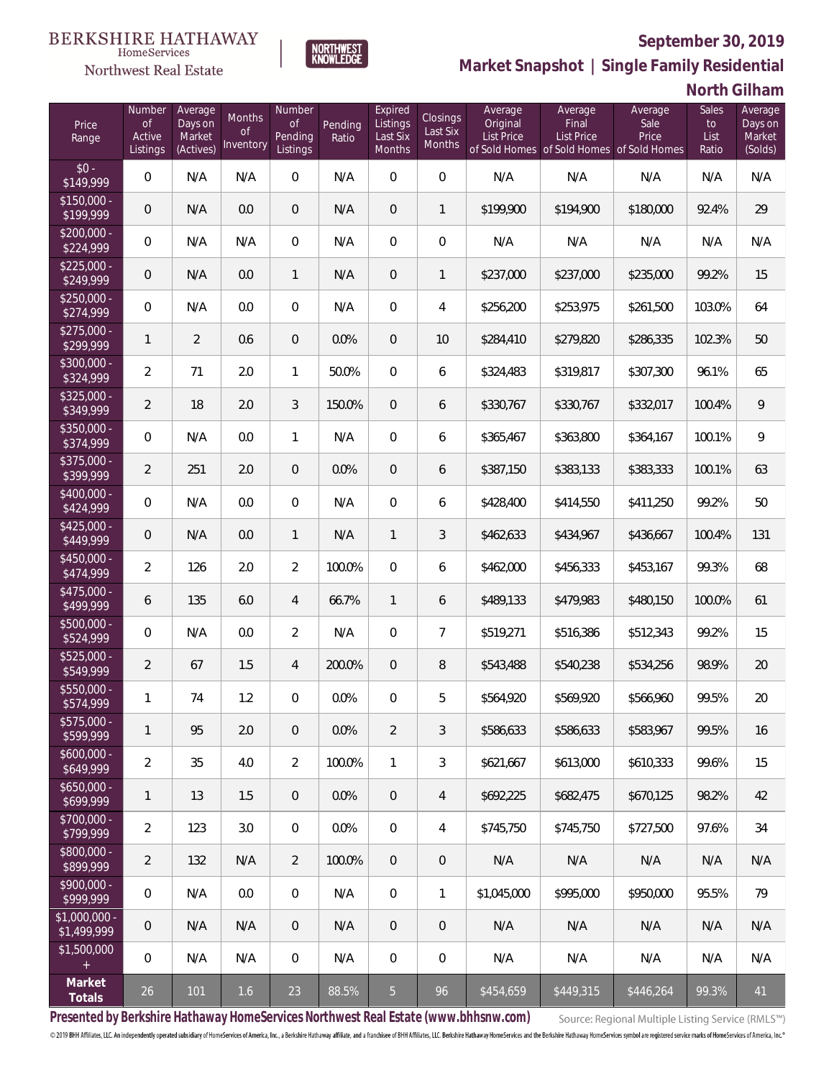

**NORTHWEST**<br>KNOWLEDGE

Northwest Real Estate

**Market Snapshot | Single Family Residential**

**North Gilham**

| Price<br>Range                | Number<br>of<br>Active<br>Listings | Average<br>Days on<br>Market<br>(Actives) | <b>Months</b><br>0f<br>Inventory | Number<br><b>of</b><br>Pending<br>Listings | Pending<br>Ratio | Expired<br>Listings<br>Last Six<br>Months | Closings<br>Last Six<br>Months | Average<br>Original<br><b>List Price</b> | Average<br>Final<br>List Price<br>of Sold Homes of Sold Homes of Sold Homes | Average<br>Sale<br>Price | Sales<br>to<br>List<br>Ratio | Average<br>Days on<br>Market<br>(Solds) |
|-------------------------------|------------------------------------|-------------------------------------------|----------------------------------|--------------------------------------------|------------------|-------------------------------------------|--------------------------------|------------------------------------------|-----------------------------------------------------------------------------|--------------------------|------------------------------|-----------------------------------------|
| $$0 -$<br>\$149,999           | $\overline{0}$                     | N/A                                       | N/A                              | $\overline{0}$                             | N/A              | $\Omega$                                  | $\overline{0}$                 | N/A                                      | N/A                                                                         | N/A                      | N/A                          | N/A                                     |
| $$150,000 -$<br>\$199,999     | $\overline{0}$                     | N/A                                       | 0.0                              | $\overline{0}$                             | N/A              | $\overline{0}$                            | 1                              | \$199,900                                | \$194,900                                                                   | \$180,000                | 92.4%                        | 29                                      |
| $$200,000 -$<br>\$224,999     | 0                                  | N/A                                       | N/A                              | $\overline{0}$                             | N/A              | $\overline{0}$                            | $\overline{0}$                 | N/A                                      | N/A                                                                         | N/A                      | N/A                          | N/A                                     |
| $$225,000 -$<br>\$249,999     | 0                                  | N/A                                       | 0.0                              | $\mathbf{1}$                               | N/A              | $\overline{0}$                            | 1                              | \$237,000                                | \$237,000                                                                   | \$235,000                | 99.2%                        | 15                                      |
| $$250,000 -$<br>\$274,999     | $\overline{0}$                     | N/A                                       | 0.0                              | $\overline{0}$                             | N/A              | $\overline{0}$                            | $\overline{4}$                 | \$256,200                                | \$253,975                                                                   | \$261,500                | 103.0%                       | 64                                      |
| $$275,000 -$<br>\$299,999     | 1                                  | $\overline{2}$                            | 0.6                              | $\overline{0}$                             | 0.0%             | $\overline{0}$                            | 10                             | \$284,410                                | \$279,820                                                                   | \$286,335                | 102.3%                       | 50                                      |
| \$300,000 -<br>\$324,999      | $\overline{2}$                     | 71                                        | 2.0                              | $\mathbf{1}$                               | 50.0%            | $\overline{0}$                            | 6                              | \$324,483                                | \$319,817                                                                   | \$307,300                | 96.1%                        | 65                                      |
| $$325,000 -$<br>\$349,999     | $\overline{2}$                     | 18                                        | 2.0                              | 3                                          | 150.0%           | $\overline{0}$                            | 6                              | \$330,767                                | \$330,767                                                                   | \$332,017                | 100.4%                       | 9                                       |
| \$350,000 -<br>\$374,999      | $\overline{0}$                     | N/A                                       | 0.0                              | $\mathbf{1}$                               | N/A              | $\overline{0}$                            | 6                              | \$365,467                                | \$363,800                                                                   | \$364,167                | 100.1%                       | 9                                       |
| \$375,000 -<br>\$399,999      | $\overline{2}$                     | 251                                       | 2.0                              | $\overline{0}$                             | 0.0%             | $\overline{0}$                            | 6                              | \$387,150                                | \$383,133                                                                   | \$383,333                | 100.1%                       | 63                                      |
| \$400,000 -<br>\$424,999      | $\overline{0}$                     | N/A                                       | 0.0                              | $\overline{0}$                             | N/A              | $\overline{0}$                            | 6                              | \$428,400                                | \$414,550                                                                   | \$411,250                | 99.2%                        | 50                                      |
| $$425,000 -$<br>\$449,999     | 0                                  | N/A                                       | 0.0                              | $\mathbf{1}$                               | N/A              | $\mathbf{1}$                              | 3                              | \$462,633                                | \$434,967                                                                   | \$436,667                | 100.4%                       | 131                                     |
| \$450,000 -<br>\$474,999      | $\overline{2}$                     | 126                                       | 2.0                              | $\overline{2}$                             | 100.0%           | $\overline{0}$                            | 6                              | \$462,000                                | \$456,333                                                                   | \$453,167                | 99.3%                        | 68                                      |
| $$475,000 -$<br>\$499,999     | 6                                  | 135                                       | 6.0                              | $\overline{4}$                             | 66.7%            | $\overline{1}$                            | 6                              | \$489,133                                | \$479,983                                                                   | \$480,150                | 100.0%                       | 61                                      |
| $$500,000 -$<br>\$524,999     | $\boldsymbol{0}$                   | N/A                                       | 0.0                              | $\overline{2}$                             | N/A              | $\overline{0}$                            | $\overline{7}$                 | \$519,271                                | \$516,386                                                                   | \$512,343                | 99.2%                        | 15                                      |
| $$525,000 -$<br>\$549,999     | $\overline{2}$                     | 67                                        | 1.5                              | $\overline{4}$                             | 200.0%           | $\overline{0}$                            | 8                              | \$543,488                                | \$540,238                                                                   | \$534,256                | 98.9%                        | 20                                      |
| \$550,000 -<br>\$574,999      | 1                                  | 74                                        | 1.2                              | $\overline{0}$                             | 0.0%             | 0                                         | 5                              | \$564,920                                | \$569,920                                                                   | \$566,960                | 99.5%                        | 20                                      |
| $$575,000 -$<br>\$599,999     | 1                                  | 95                                        | 2.0                              | $\theta$                                   | 0.0%             | $\overline{2}$                            | 3                              | \$586,633                                | \$586,633                                                                   | \$583,967                | 99.5%                        | 16                                      |
| $$600,000 -$<br>\$649,999     | $\overline{a}$                     | 35                                        | 4.0                              | $\overline{2}$                             | 100.0%           | $\mathbf{1}$                              | 3                              | \$621,667                                | \$613,000                                                                   | \$610.333                | 99.6%                        | 15                                      |
| $$650,000 -$<br>\$699,999     | 1                                  | 13                                        | 1.5                              | $\overline{0}$                             | 0.0%             | $\overline{0}$                            | $\overline{4}$                 | \$692,225                                | \$682,475                                                                   | \$670,125                | 98.2%                        | 42                                      |
| $$700,000 -$<br>\$799,999     | $\overline{2}$                     | 123                                       | 3.0                              | 0                                          | 0.0%             | $\overline{0}$                            | 4                              | \$745,750                                | \$745,750                                                                   | \$727,500                | 97.6%                        | 34                                      |
| $$800,000 -$<br>\$899,999     | $\overline{2}$                     | 132                                       | N/A                              | $\overline{2}$                             | 100.0%           | $\overline{0}$                            | $\theta$                       | N/A                                      | N/A                                                                         | N/A                      | N/A                          | N/A                                     |
| $$900,000 -$<br>\$999,999     | 0                                  | N/A                                       | 0.0                              | $\boldsymbol{0}$                           | N/A              | $\boldsymbol{0}$                          | $\mathbf{1}$                   | \$1,045,000                              | \$995,000                                                                   | \$950,000                | 95.5%                        | 79                                      |
| $$1,000,000 -$<br>\$1,499,999 | $\mathbf 0$                        | N/A                                       | N/A                              | $\overline{0}$                             | N/A              | $\overline{0}$                            | $\theta$                       | N/A                                      | N/A                                                                         | N/A                      | N/A                          | N/A                                     |
| \$1,500,000<br>$+$            | 0                                  | N/A                                       | N/A                              | $\boldsymbol{0}$                           | N/A              | 0                                         | $\mathbf 0$                    | N/A                                      | N/A                                                                         | N/A                      | N/A                          | N/A                                     |
| Market<br>Totals              | $26\,$                             | 101                                       | 1.6                              | 23                                         | 88.5%            | 5 <sub>o</sub>                            | 96                             | \$454,659                                | \$449,315                                                                   | \$446,264                | 99.3%                        | 41                                      |

**Presented by Berkshire Hathaway HomeServices Northwest Real Estate (www.bhhsnw.com)**

Source: Regional Multiple Listing Service (RMLS™)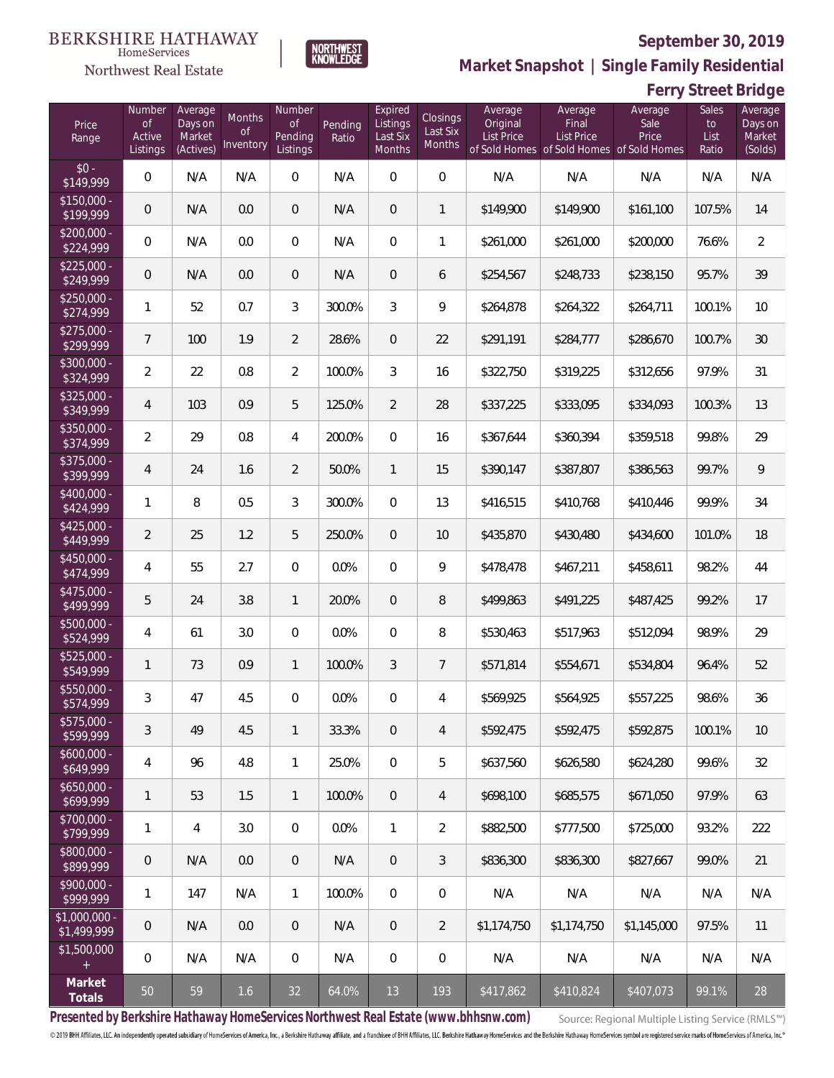

**NORTHWEST**<br>KNOWLEDGE

Northwest Real Estate

**Market Snapshot | Single Family Residential**

# **Ferry Street Bridge**

| Price<br>Range               | Number<br><b>of</b><br>Active<br>Listings | Average<br>Days on<br>Market<br>(Actives) | Months<br><sub>Of</sub><br>Inventory | Number<br>of<br>Pending<br>Listings | Pending<br>Ratio | Expired<br>Listings<br>Last Six<br>Months | Closings<br>Last Six<br>Months | Average<br>Original<br>List Price | Average<br>Final<br>List Price | Average<br>Sale<br>Price<br>of Sold Homes of Sold Homes of Sold Homes | Sales<br>to<br>List<br>Ratio | Average<br>Days on<br>Market<br>(Solds) |
|------------------------------|-------------------------------------------|-------------------------------------------|--------------------------------------|-------------------------------------|------------------|-------------------------------------------|--------------------------------|-----------------------------------|--------------------------------|-----------------------------------------------------------------------|------------------------------|-----------------------------------------|
| $$0 -$<br>\$149,999          | $\mathbf{0}$                              | N/A                                       | N/A                                  | $\overline{0}$                      | N/A              | $\Omega$                                  | $\overline{0}$                 | N/A                               | N/A                            | N/A                                                                   | N/A                          | N/A                                     |
| $$150,000 -$<br>\$199,999    | $\overline{0}$                            | N/A                                       | 0.0                                  | $\overline{0}$                      | N/A              | $\overline{0}$                            | 1                              | \$149,900                         | \$149,900                      | \$161,100                                                             | 107.5%                       | 14                                      |
| $$200,000 -$<br>\$224,999    | $\overline{0}$                            | N/A                                       | 0.0                                  | $\overline{0}$                      | N/A              | $\overline{0}$                            | 1                              | \$261,000                         | \$261,000                      | \$200,000                                                             | 76.6%                        | $\overline{2}$                          |
| $$225,000 -$<br>\$249,999    | $\overline{0}$                            | N/A                                       | 0.0                                  | $\overline{0}$                      | N/A              | $\overline{0}$                            | 6                              | \$254,567                         | \$248,733                      | \$238,150                                                             | 95.7%                        | 39                                      |
| $$250,000 -$<br>\$274,999    | $\mathbf{1}$                              | 52                                        | 0.7                                  | 3                                   | 300.0%           | 3                                         | 9                              | \$264,878                         | \$264,322                      | \$264,711                                                             | 100.1%                       | 10                                      |
| $$275,000 -$<br>\$299,999    | $7\overline{ }$                           | 100                                       | 1.9                                  | $\overline{2}$                      | 28.6%            | $\overline{0}$                            | 22                             | \$291,191                         | \$284,777                      | \$286,670                                                             | 100.7%                       | 30                                      |
| $$300,000 -$<br>\$324,999    | $\overline{2}$                            | 22                                        | 0.8                                  | $\overline{2}$                      | 100.0%           | 3                                         | 16                             | \$322,750                         | \$319,225                      | \$312,656                                                             | 97.9%                        | 31                                      |
| $$325,000 -$<br>\$349,999    | $\overline{4}$                            | 103                                       | 0.9                                  | 5                                   | 125.0%           | $\overline{2}$                            | 28                             | \$337,225                         | \$333,095                      | \$334,093                                                             | 100.3%                       | 13                                      |
| $$350,000 -$<br>\$374,999    | $\overline{2}$                            | 29                                        | 0.8                                  | $\overline{4}$                      | 200.0%           | $\Omega$                                  | 16                             | \$367,644                         | \$360,394                      | \$359,518                                                             | 99.8%                        | 29                                      |
| $$375,000 -$<br>\$399,999    | $\overline{4}$                            | 24                                        | 1.6                                  | $\overline{2}$                      | 50.0%            | $\mathbf{1}$                              | 15                             | \$390,147                         | \$387,807                      | \$386,563                                                             | 99.7%                        | 9                                       |
| $$400,000 -$<br>\$424,999    | $\mathbf{1}$                              | 8                                         | 0.5                                  | 3                                   | 300.0%           | $\Omega$                                  | 13                             | \$416,515                         | \$410,768                      | \$410,446                                                             | 99.9%                        | 34                                      |
| $$425,000 -$<br>\$449,999    | $\overline{2}$                            | 25                                        | 1.2                                  | 5                                   | 250.0%           | $\overline{0}$                            | 10                             | \$435,870                         | \$430,480                      | \$434,600                                                             | 101.0%                       | 18                                      |
| $$450,000 -$<br>\$474,999    | $\overline{4}$                            | 55                                        | 2.7                                  | $\overline{0}$                      | 0.0%             | $\Omega$                                  | 9                              | \$478,478                         | \$467,211                      | \$458,611                                                             | 98.2%                        | 44                                      |
| $$475,000 -$<br>\$499,999    | 5                                         | 24                                        | 3.8                                  | $\mathbf{1}$                        | 20.0%            | $\overline{0}$                            | 8                              | \$499,863                         | \$491,225                      | \$487,425                                                             | 99.2%                        | 17                                      |
| $$500,000 -$<br>\$524,999    | $\overline{4}$                            | 61                                        | 3.0                                  | $\overline{0}$                      | 0.0%             | $\Omega$                                  | 8                              | \$530,463                         | \$517,963                      | \$512,094                                                             | 98.9%                        | 29                                      |
| $$525,000 -$<br>\$549,999    | $\mathbf{1}$                              | 73                                        | 0.9                                  | $\mathbf{1}$                        | 100.0%           | $\mathfrak{Z}$                            | $\overline{7}$                 | \$571,814                         | \$554,671                      | \$534,804                                                             | 96.4%                        | 52                                      |
| $$550,000 -$<br>\$574,999    | 3                                         | 47                                        | 4.5                                  | $\overline{0}$                      | 0.0%             | $\overline{0}$                            | 4                              | \$569,925                         | \$564,925                      | \$557,225                                                             | 98.6%                        | 36                                      |
| $$575,000 -$<br>\$599,999    | 3                                         | 49                                        | 4.5                                  | $\mathbf{1}$                        | 33.3%            | $\mathbf 0$                               | $\overline{4}$                 | \$592,475                         | \$592,475                      | \$592,875                                                             | 100.1%                       | 10                                      |
| $$600,000 -$<br>\$649,999    | 4                                         | 96                                        | 4.8                                  | $\mathbf{1}$                        | 25.0%            | $\mathbf{0}$                              | 5                              | \$637,560                         | \$626,580                      | \$624,280                                                             | 99.6%                        | 32                                      |
| $$650,000 -$<br>\$699,999    | $\mathbf{1}$                              | 53                                        | 1.5                                  | $\mathbf{1}$                        | 100.0%           | 0                                         | $\overline{4}$                 | \$698,100                         | \$685,575                      | \$671,050                                                             | 97.9%                        | 63                                      |
| $$700,000 -$<br>\$799,999    | $\mathbf{1}$                              | $\overline{4}$                            | 3.0                                  | 0                                   | 0.0%             | $\mathbf{1}$                              | $\overline{2}$                 | \$882,500                         | \$777,500                      | \$725,000                                                             | 93.2%                        | 222                                     |
| \$800,000 -<br>\$899,999     | $\mathbf 0$                               | N/A                                       | 0.0                                  | $\overline{0}$                      | N/A              | $\overline{0}$                            | $\mathfrak{Z}$                 | \$836,300                         | \$836,300                      | \$827,667                                                             | 99.0%                        | 21                                      |
| \$900,000 -<br>\$999,999     | $\mathbf{1}$                              | 147                                       | N/A                                  | $\mathbf{1}$                        | 100.0%           | $\mathbf{0}$                              | $\mathbf 0$                    | N/A                               | N/A                            | N/A                                                                   | N/A                          | N/A                                     |
| \$1,000,000 -<br>\$1,499,999 | $\mathbf 0$                               | N/A                                       | 0.0                                  | $\overline{0}$                      | N/A              | 0                                         | $\overline{2}$                 | \$1,174,750                       | \$1,174,750                    | \$1,145,000                                                           | 97.5%                        | 11                                      |
| \$1,500,000<br>$+$           | $\mathbf 0$                               | N/A                                       | N/A                                  | 0                                   | N/A              | $\mathbf 0$                               | $\mathbf 0$                    | N/A                               | N/A                            | N/A                                                                   | N/A                          | N/A                                     |
| Market<br>Totals             | $50\,$                                    | 59                                        | 1.6                                  | 32                                  | 64.0%            | 13                                        | 193                            | \$417,862                         | \$410,824                      | \$407,073                                                             | 99.1%                        | 28                                      |

**Presented by Berkshire Hathaway HomeServices Northwest Real Estate (www.bhhsnw.com)**

Source: Regional Multiple Listing Service (RMLS™)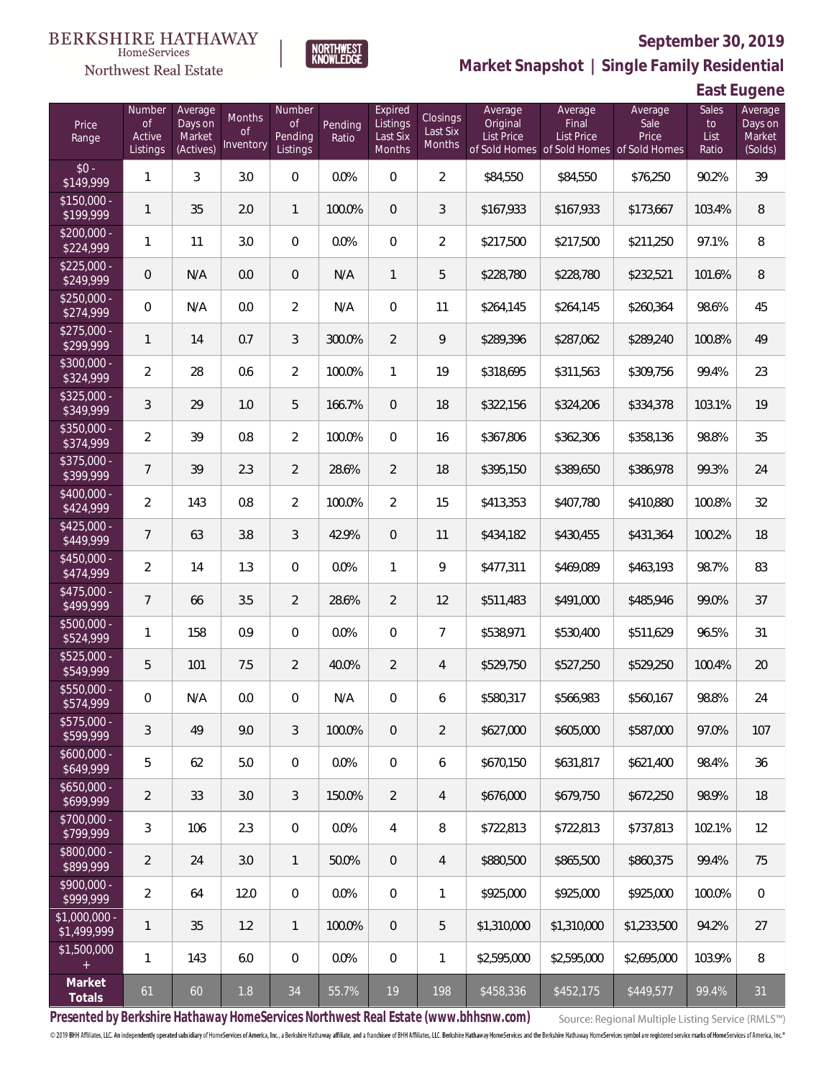

**NORTHWEST**<br>KNOWLEDGE

Northwest Real Estate

**Market Snapshot | Single Family Residential**

**East Eugene**

| Price<br>Range                | Number<br>of<br>Active<br>Listings | Average<br>Days on<br>Market<br>(Actives) | Months<br>0f<br>Inventory | Number<br>Οf<br>Pending<br>Listings | Pending<br>Ratio | Expired<br>Listings<br>Last Six<br>Months | <b>Closings</b><br>Last Six<br>Months | Average<br>Original<br><b>List Price</b> | Average<br>Final<br><b>List Price</b><br>of Sold Homes of Sold Homes of Sold Homes | Average<br>Sale<br>Price | Sales<br>to<br>List<br>Ratio | Average<br>Days on<br>Market<br>(Solds) |
|-------------------------------|------------------------------------|-------------------------------------------|---------------------------|-------------------------------------|------------------|-------------------------------------------|---------------------------------------|------------------------------------------|------------------------------------------------------------------------------------|--------------------------|------------------------------|-----------------------------------------|
| $$0 -$<br>\$149,999           | 1                                  | 3                                         | 3.0                       | $\overline{0}$                      | 0.0%             | $\Omega$                                  | $\overline{2}$                        | \$84,550                                 | \$84,550                                                                           | \$76,250                 | 90.2%                        | 39                                      |
| $$150,000 -$<br>\$199,999     | 1                                  | 35                                        | 2.0                       | $\mathbf{1}$                        | 100.0%           | $\overline{0}$                            | 3                                     | \$167,933                                | \$167,933                                                                          | \$173,667                | 103.4%                       | 8                                       |
| $$200,000 -$<br>\$224,999     | 1                                  | 11                                        | 3.0                       | $\overline{0}$                      | 0.0%             | $\overline{0}$                            | $\overline{2}$                        | \$217,500                                | \$217,500                                                                          | \$211,250                | 97.1%                        | 8                                       |
| $$225,000 -$<br>\$249,999     | 0                                  | N/A                                       | 0.0                       | $\overline{0}$                      | N/A              | $\mathbf{1}$                              | 5                                     | \$228,780                                | \$228,780                                                                          | \$232,521                | 101.6%                       | 8                                       |
| $$250,000 -$<br>\$274,999     | 0                                  | N/A                                       | 0.0                       | $\overline{2}$                      | N/A              | $\Omega$                                  | 11                                    | \$264,145                                | \$264,145                                                                          | \$260,364                | 98.6%                        | 45                                      |
| $$275,000 -$<br>\$299,999     | 1                                  | 14                                        | 0.7                       | 3                                   | 300.0%           | $\overline{2}$                            | 9                                     | \$289,396                                | \$287,062                                                                          | \$289,240                | 100.8%                       | 49                                      |
| $$300,000 -$<br>\$324,999     | $\overline{2}$                     | 28                                        | 0.6                       | $\overline{2}$                      | 100.0%           | $\mathbf{1}$                              | 19                                    | \$318,695                                | \$311,563                                                                          | \$309,756                | 99.4%                        | 23                                      |
| $$325,000 -$<br>\$349,999     | 3                                  | 29                                        | 1.0                       | 5                                   | 166.7%           | $\overline{0}$                            | 18                                    | \$322,156                                | \$324,206                                                                          | \$334,378                | 103.1%                       | 19                                      |
| $$350,000 -$<br>\$374,999     | $\overline{2}$                     | 39                                        | 0.8                       | $\overline{2}$                      | 100.0%           | $\Omega$                                  | 16                                    | \$367,806                                | \$362,306                                                                          | \$358,136                | 98.8%                        | 35                                      |
| $$375,000 -$<br>\$399,999     | $\overline{7}$                     | 39                                        | 2.3                       | $\overline{2}$                      | 28.6%            | $\overline{2}$                            | 18                                    | \$395,150                                | \$389,650                                                                          | \$386,978                | 99.3%                        | 24                                      |
| $$400,000 -$<br>\$424,999     | $\overline{2}$                     | 143                                       | 0.8                       | $\overline{2}$                      | 100.0%           | $\overline{2}$                            | 15                                    | \$413,353                                | \$407,780                                                                          | \$410,880                | 100.8%                       | 32                                      |
| $$425,000 -$<br>\$449,999     | 7                                  | 63                                        | 3.8                       | 3                                   | 42.9%            | $\overline{0}$                            | 11                                    | \$434,182                                | \$430,455                                                                          | \$431,364                | 100.2%                       | 18                                      |
| $$450,000 -$<br>\$474,999     | $\overline{a}$                     | 14                                        | 1.3                       | $\overline{0}$                      | 0.0%             | $\mathbf{1}$                              | 9                                     | \$477,311                                | \$469,089                                                                          | \$463,193                | 98.7%                        | 83                                      |
| $$475,000 -$<br>\$499,999     | $\overline{7}$                     | 66                                        | 3.5                       | $\overline{2}$                      | 28.6%            | $\overline{2}$                            | 12                                    | \$511,483                                | \$491,000                                                                          | \$485,946                | 99.0%                        | 37                                      |
| $$500,000 -$<br>\$524,999     | 1                                  | 158                                       | 0.9                       | $\overline{0}$                      | 0.0%             | $\Omega$                                  | $\overline{7}$                        | \$538,971                                | \$530,400                                                                          | \$511,629                | 96.5%                        | 31                                      |
| $$525,000 -$<br>\$549,999     | 5                                  | 101                                       | 7.5                       | $\overline{2}$                      | 40.0%            | $\overline{2}$                            | $\overline{4}$                        | \$529,750                                | \$527,250                                                                          | \$529,250                | 100.4%                       | 20                                      |
| $$550,000 -$<br>\$574,999     | 0                                  | N/A                                       | 0.0                       | $\mathbf{0}$                        | N/A              | 0                                         | 6                                     | \$580,317                                | \$566,983                                                                          | \$560,167                | 98.8%                        | 24                                      |
| $$575,000 -$<br>\$599,999     | 3                                  | 49                                        | 9.0                       | 3                                   | 100.0%           | $\overline{0}$                            | 2                                     | \$627,000                                | \$605,000                                                                          | \$587,000                | 97.0%                        | 107                                     |
| $$600,000 -$<br>\$649,999     | 5                                  | 62                                        | 5.0                       | $\boldsymbol{0}$                    | 0.0%             | $\mathbf 0$                               | 6                                     | \$670,150                                | \$631,817                                                                          | \$621,400                | 98.4%                        | 36                                      |
| $$650,000 -$<br>\$699,999     | $\overline{2}$                     | 33                                        | 3.0                       | 3                                   | 150.0%           | $\overline{2}$                            | $\overline{4}$                        | \$676,000                                | \$679,750                                                                          | \$672,250                | 98.9%                        | 18                                      |
| $$700,000 -$<br>\$799,999     | 3                                  | 106                                       | 2.3                       | $\boldsymbol{0}$                    | 0.0%             | $\overline{4}$                            | 8                                     | \$722,813                                | \$722,813                                                                          | \$737,813                | 102.1%                       | 12                                      |
| $$800,000 -$<br>\$899,999     | $\overline{2}$                     | 24                                        | 3.0                       | $\mathbf{1}$                        | 50.0%            | $\mathbf 0$                               | $\overline{4}$                        | \$880,500                                | \$865,500                                                                          | \$860,375                | 99.4%                        | 75                                      |
| \$900,000 -<br>\$999,999      | $\overline{2}$                     | 64                                        | 12.0                      | $\boldsymbol{0}$                    | 0.0%             | $\boldsymbol{0}$                          | 1                                     | \$925,000                                | \$925,000                                                                          | \$925,000                | 100.0%                       | $\,0\,$                                 |
| $$1,000,000 -$<br>\$1,499,999 | 1                                  | 35                                        | 1.2                       | $\mathbf{1}$                        | 100.0%           | $\mathbf 0$                               | 5                                     | \$1,310,000                              | \$1,310,000                                                                        | \$1,233,500              | 94.2%                        | 27                                      |
| \$1,500,000<br>$+$            | 1                                  | 143                                       | 6.0                       | 0                                   | 0.0%             | $\mathbf 0$                               | $\mathbf{1}$                          | \$2,595,000                              | \$2,595,000                                                                        | \$2,695,000              | 103.9%                       | 8                                       |
| Market<br>Totals              | 61                                 | 60                                        | 1.8                       | 34                                  | 55.7%            | 19                                        | 198                                   | \$458,336                                | \$452,175                                                                          | \$449,577                | 99.4%                        | 31                                      |

**Presented by Berkshire Hathaway HomeServices Northwest Real Estate (www.bhhsnw.com)**

Source: Regional Multiple Listing Service (RMLS™)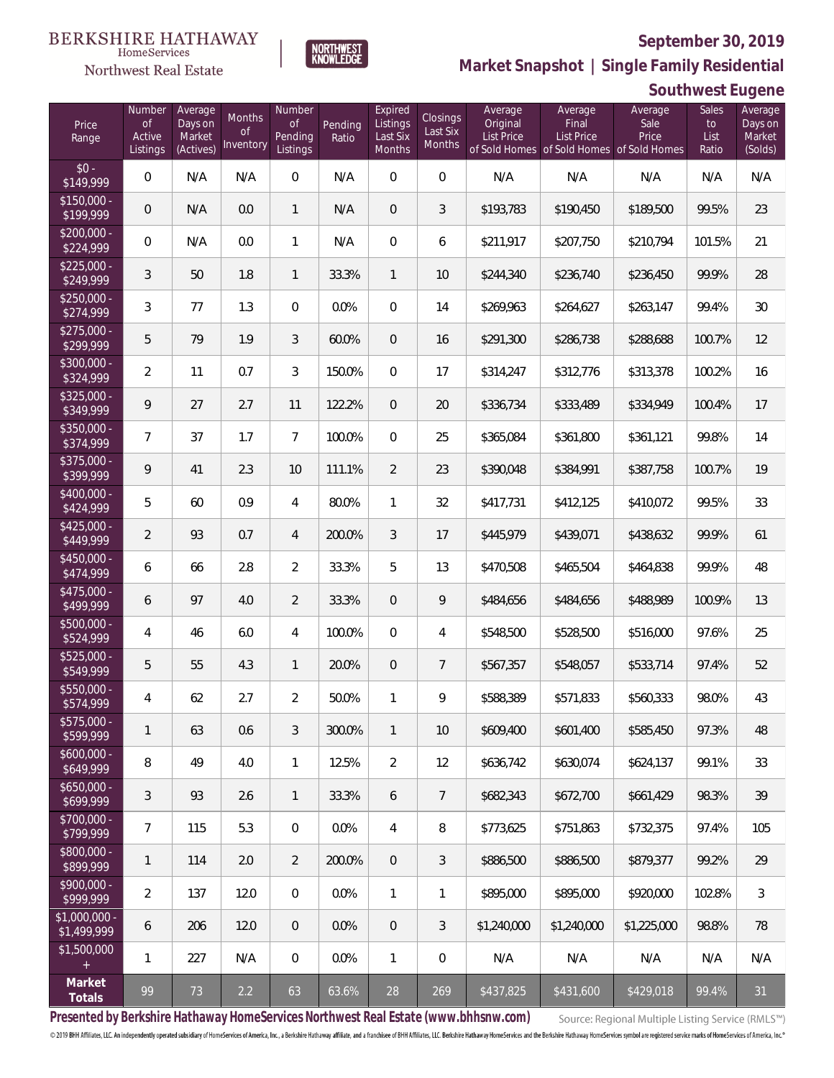

**NORTHWEST**<br>KNOWLEDGE

Northwest Real Estate

**Market Snapshot | Single Family Residential**

# **Southwest Eugene**

| Price<br>Range                       | Number<br><b>of</b><br>Active<br>Listings | Average<br>Days on<br>Market<br>(Actives) | Months<br>0f<br>Inventory | Number<br><b>of</b><br>Pending<br>Listings | Pending<br>Ratio | Expired<br>Listings<br>Last Six<br>Months | Closings<br>Last Six<br>Months | Average<br>Original<br><b>List Price</b> | Average<br>Final<br>List Price<br>of Sold Homes of Sold Homes of Sold Homes | Average<br>Sale<br>Price | Sales<br>to<br>List<br>Ratio | Average<br>Days on<br>Market<br>(Solds) |
|--------------------------------------|-------------------------------------------|-------------------------------------------|---------------------------|--------------------------------------------|------------------|-------------------------------------------|--------------------------------|------------------------------------------|-----------------------------------------------------------------------------|--------------------------|------------------------------|-----------------------------------------|
| $$0 -$<br>\$149,999                  | $\overline{0}$                            | N/A                                       | N/A                       | $\overline{0}$                             | N/A              | $\overline{0}$                            | $\overline{0}$                 | N/A                                      | N/A                                                                         | N/A                      | N/A                          | N/A                                     |
| $$150,000 -$<br>\$199,999            | $\overline{0}$                            | N/A                                       | 0.0                       | $\mathbf{1}$                               | N/A              | $\overline{0}$                            | $\mathfrak{Z}$                 | \$193,783                                | \$190,450                                                                   | \$189,500                | 99.5%                        | 23                                      |
| $$200,000 -$<br>\$224,999            | $\overline{0}$                            | N/A                                       | 0.0                       | $\mathbf{1}$                               | N/A              | $\overline{0}$                            | 6                              | \$211,917                                | \$207,750                                                                   | \$210,794                | 101.5%                       | 21                                      |
| $$225,000 -$<br>\$249,999            | 3                                         | 50                                        | 1.8                       | $\mathbf{1}$                               | 33.3%            | $\mathbf{1}$                              | 10                             | \$244,340                                | \$236,740                                                                   | \$236,450                | 99.9%                        | 28                                      |
| $$250,000 -$<br>\$274,999            | 3                                         | 77                                        | 1.3                       | $\overline{0}$                             | 0.0%             | $\overline{0}$                            | 14                             | \$269,963                                | \$264,627                                                                   | \$263,147                | 99.4%                        | 30                                      |
| $$275,000 -$<br>\$299,999            | 5                                         | 79                                        | 1.9                       | $\mathfrak{Z}$                             | 60.0%            | $\overline{0}$                            | 16                             | \$291,300                                | \$286,738                                                                   | \$288,688                | 100.7%                       | 12                                      |
| $$300,000 -$<br>\$324,999            | $\overline{2}$                            | 11                                        | 0.7                       | $\mathfrak{Z}$                             | 150.0%           | $\Omega$                                  | 17                             | \$314,247                                | \$312,776                                                                   | \$313,378                | 100.2%                       | 16                                      |
| $$325,000 -$<br>\$349,999            | 9                                         | 27                                        | 2.7                       | 11                                         | 122.2%           | $\overline{0}$                            | 20                             | \$336,734                                | \$333,489                                                                   | \$334,949                | 100.4%                       | 17                                      |
| $$350,000 -$<br>\$374,999            | $\overline{7}$                            | 37                                        | 1.7                       | $\overline{7}$                             | 100.0%           | $\Omega$                                  | 25                             | \$365,084                                | \$361,800                                                                   | \$361,121                | 99.8%                        | 14                                      |
| $$375,000 -$<br>\$399,999            | 9                                         | 41                                        | 2.3                       | 10                                         | 111.1%           | $\overline{2}$                            | 23                             | \$390,048                                | \$384,991                                                                   | \$387,758                | 100.7%                       | 19                                      |
| $$400,000 -$<br>\$424,999            | 5                                         | 60                                        | 0.9                       | $\overline{4}$                             | 80.0%            | $\mathbf{1}$                              | 32                             | \$417,731                                | \$412,125                                                                   | \$410,072                | 99.5%                        | 33                                      |
| $$425,000 -$<br>\$449,999            | $\overline{2}$                            | 93                                        | 0.7                       | $\overline{4}$                             | 200.0%           | $\mathfrak{Z}$                            | 17                             | \$445,979                                | \$439,071                                                                   | \$438,632                | 99.9%                        | 61                                      |
| $$450,000 -$<br>\$474,999            | 6                                         | 66                                        | 2.8                       | $\overline{2}$                             | 33.3%            | 5                                         | 13                             | \$470,508                                | \$465,504                                                                   | \$464,838                | 99.9%                        | 48                                      |
| $$475,000 -$<br>\$499,999            | 6                                         | 97                                        | 4.0                       | $\overline{2}$                             | 33.3%            | $\overline{0}$                            | 9                              | \$484,656                                | \$484,656                                                                   | \$488,989                | 100.9%                       | 13                                      |
| $$500,000 -$<br>\$524,999            | $\overline{4}$                            | 46                                        | 6.0                       | $\overline{4}$                             | 100.0%           | $\Omega$                                  | 4                              | \$548,500                                | \$528,500                                                                   | \$516,000                | 97.6%                        | 25                                      |
| $$525,000 -$<br>\$549,999            | 5                                         | 55                                        | 4.3                       | $\mathbf{1}$                               | 20.0%            | $\overline{0}$                            | $\overline{7}$                 | \$567,357                                | \$548,057                                                                   | \$533,714                | 97.4%                        | 52                                      |
| \$550,000 -<br>\$574,999             | 4                                         | 62                                        | 2.7                       | $\overline{2}$                             | 50.0%            | 1                                         | 9                              | \$588,389                                | \$571,833                                                                   | \$560,333                | 98.0%                        | 43                                      |
| $\overline{$575,000}$ -<br>\$599,999 | $\mathbf{1}$                              | 63                                        | 0.6                       | $\sqrt{3}$                                 | 300.0%           | $\mathbf{1}$                              | 10                             | \$609,400                                | \$601,400                                                                   | \$585,450                | 97.3%                        | 48                                      |
| $$600,000 -$<br>\$649,999            | 8                                         | 49                                        | 4.0                       | $\mathbf{1}$                               | 12.5%            | $\overline{2}$                            | 12                             | \$636,742                                | \$630,074                                                                   | \$624,137                | 99.1%                        | 33                                      |
| $$650,000 -$<br>\$699,999            | $\mathfrak{Z}$                            | 93                                        | 2.6                       | $\mathbf{1}$                               | 33.3%            | 6                                         | $\overline{7}$                 | \$682,343                                | \$672,700                                                                   | \$661,429                | 98.3%                        | 39                                      |
| $$700,000 -$<br>\$799,999            | $7\overline{ }$                           | 115                                       | 5.3                       | 0                                          | 0.0%             | 4                                         | 8                              | \$773,625                                | \$751,863                                                                   | \$732,375                | 97.4%                        | 105                                     |
| \$800,000 -<br>\$899,999             | $\mathbf{1}$                              | 114                                       | 2.0                       | $\overline{2}$                             | 200.0%           | $\overline{0}$                            | $\sqrt{3}$                     | \$886,500                                | \$886,500                                                                   | \$879,377                | 99.2%                        | 29                                      |
| \$900,000 -<br>\$999,999             | $\overline{2}$                            | 137                                       | 12.0                      | $\overline{0}$                             | 0.0%             | $\mathbf{1}$                              | 1                              | \$895,000                                | \$895,000                                                                   | \$920,000                | 102.8%                       | 3                                       |
| \$1,000,000 -<br>\$1,499,999         | 6                                         | 206                                       | 12.0                      | $\overline{0}$                             | 0.0%             | 0                                         | 3                              | \$1,240,000                              | \$1,240,000                                                                 | \$1,225,000              | 98.8%                        | 78                                      |
| \$1,500,000<br>$+$                   | $\mathbf{1}$                              | 227                                       | N/A                       | 0                                          | 0.0%             | $\mathbf{1}$                              | $\mathbf 0$                    | N/A                                      | N/A                                                                         | N/A                      | N/A                          | N/A                                     |
| Market<br>Totals                     | 99                                        | 73                                        | $2.2$                     | 63                                         | 63.6%            | 28                                        | 269                            | \$437,825                                | \$431,600                                                                   | \$429,018                | 99.4%                        | 31                                      |

**Presented by Berkshire Hathaway HomeServices Northwest Real Estate (www.bhhsnw.com)**

Source: Regional Multiple Listing Service (RMLS™)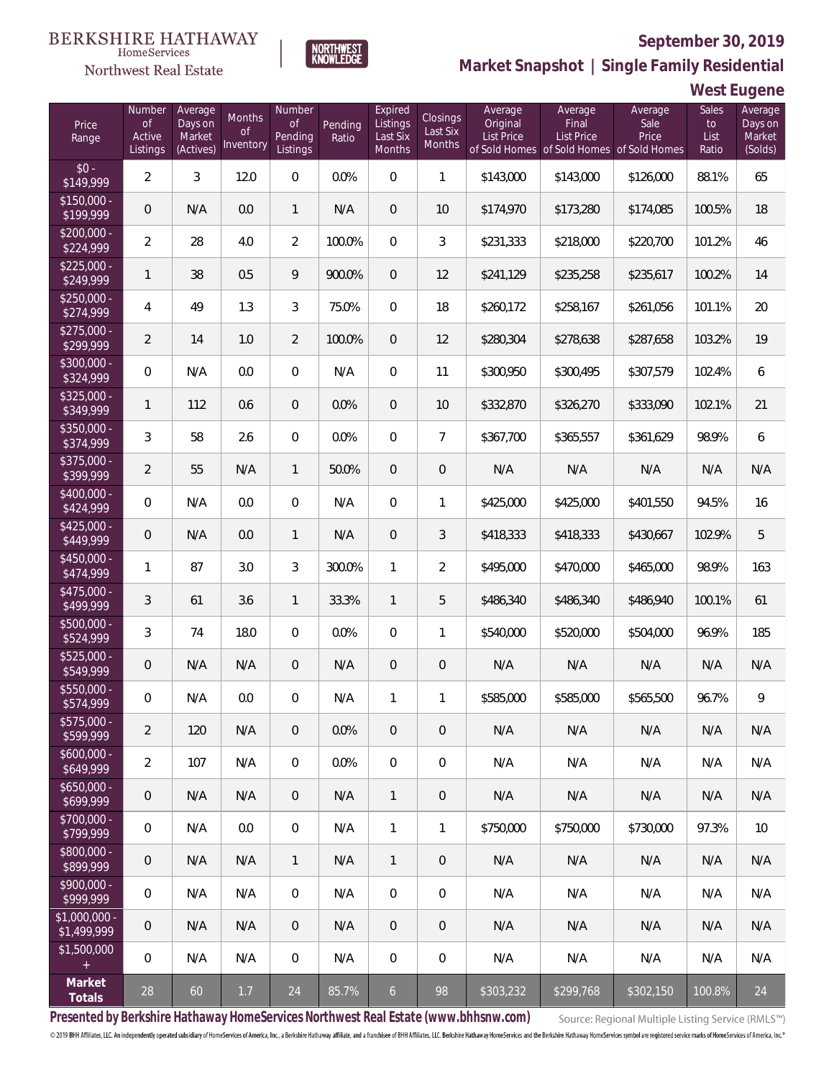

NORTHWEST<br>KNOWLEDGE

Northwest Real Estate

**Market Snapshot | Single Family Residential**

**West Eugene**

| Price<br>Range                | Number<br>$\mathsf{of}$<br>Active<br>Listings | Average<br>Days on<br>Market<br>(Actives) | Months<br><b>of</b><br>Inventory | Number<br>Οf<br>Pending<br>Listings | Pending<br>Ratio | Expired<br>Listings<br>Last Six<br><b>Months</b> | Closings<br>Last Six<br>Months | Average<br>Original<br>List Price | Average<br>Final<br><b>List Price</b><br>of Sold Homes of Sold Homes of Sold Homes | Average<br>Sale<br>Price | Sales<br>to<br>List<br>Ratio | Average<br>Days on<br>Market<br>(Solds) |
|-------------------------------|-----------------------------------------------|-------------------------------------------|----------------------------------|-------------------------------------|------------------|--------------------------------------------------|--------------------------------|-----------------------------------|------------------------------------------------------------------------------------|--------------------------|------------------------------|-----------------------------------------|
| $$0 -$<br>\$149,999           | $\overline{2}$                                | 3                                         | 12.0                             | $\overline{0}$                      | 0.0%             | $\overline{0}$                                   | $\mathbf{1}$                   | \$143,000                         | \$143,000                                                                          | \$126,000                | 88.1%                        | 65                                      |
| $$150.000 -$<br>\$199,999     | 0                                             | N/A                                       | 0.0                              | $\mathbf{1}$                        | N/A              | $\overline{0}$                                   | 10                             | \$174,970                         | \$173,280                                                                          | \$174,085                | 100.5%                       | 18                                      |
| $$200.000 -$<br>\$224,999     | $\overline{2}$                                | 28                                        | 4.0                              | $\overline{2}$                      | 100.0%           | $\overline{0}$                                   | 3                              | \$231,333                         | \$218,000                                                                          | \$220,700                | 101.2%                       | 46                                      |
| $$225.000 -$<br>\$249,999     | 1                                             | 38                                        | 0.5                              | 9                                   | 900.0%           | $\overline{0}$                                   | 12                             | \$241,129                         | \$235,258                                                                          | \$235,617                | 100.2%                       | 14                                      |
| $$250.000 -$<br>\$274,999     | 4                                             | 49                                        | 1.3                              | 3                                   | 75.0%            | $\overline{0}$                                   | 18                             | \$260,172                         | \$258,167                                                                          | \$261,056                | 101.1%                       | 20                                      |
| $$275,000 -$<br>\$299,999     | 2                                             | 14                                        | 1.0                              | $\overline{2}$                      | 100.0%           | $\overline{0}$                                   | 12                             | \$280,304                         | \$278,638                                                                          | \$287,658                | 103.2%                       | 19                                      |
| \$300,000 -<br>\$324,999      | 0                                             | N/A                                       | 0.0                              | $\overline{0}$                      | N/A              | $\overline{0}$                                   | 11                             | \$300,950                         | \$300,495                                                                          | \$307,579                | 102.4%                       | 6                                       |
| $$325,000 -$<br>\$349,999     | 1                                             | 112                                       | 0.6                              | $\overline{0}$                      | 0.0%             | $\overline{0}$                                   | 10                             | \$332,870                         | \$326,270                                                                          | \$333,090                | 102.1%                       | 21                                      |
| $$350,000 -$<br>\$374,999     | 3                                             | 58                                        | 2.6                              | $\mathbf 0$                         | 0.0%             | $\overline{0}$                                   | $\overline{7}$                 | \$367,700                         | \$365,557                                                                          | \$361,629                | 98.9%                        | 6                                       |
| $$375,000 -$<br>\$399,999     | $\overline{2}$                                | 55                                        | N/A                              | $\mathbf{1}$                        | 50.0%            | $\overline{0}$                                   | $\mathbf 0$                    | N/A                               | N/A                                                                                | N/A                      | N/A                          | N/A                                     |
| $$400,000 -$<br>\$424,999     | 0                                             | N/A                                       | 0.0                              | 0                                   | N/A              | $\overline{0}$                                   | 1                              | \$425,000                         | \$425,000                                                                          | \$401,550                | 94.5%                        | 16                                      |
| $$425,000 -$<br>\$449,999     | 0                                             | N/A                                       | 0.0                              | $\mathbf{1}$                        | N/A              | $\overline{0}$                                   | 3                              | \$418,333                         | \$418,333                                                                          | \$430,667                | 102.9%                       | 5                                       |
| $$450,000 -$<br>\$474,999     | 1                                             | 87                                        | 3.0                              | 3                                   | 300.0%           | $\mathbf{1}$                                     | $\overline{2}$                 | \$495,000                         | \$470,000                                                                          | \$465,000                | 98.9%                        | 163                                     |
| $$475,000 -$<br>\$499,999     | 3                                             | 61                                        | 3.6                              | $\mathbf{1}$                        | 33.3%            | $\mathbf{1}$                                     | 5                              | \$486,340                         | \$486,340                                                                          | \$486,940                | 100.1%                       | 61                                      |
| \$500,000 -<br>\$524,999      | 3                                             | 74                                        | 18.0                             | 0                                   | 0.0%             | $\overline{0}$                                   | 1                              | \$540,000                         | \$520,000                                                                          | \$504,000                | 96.9%                        | 185                                     |
| \$525,000 -<br>\$549,999      | 0                                             | N/A                                       | N/A                              | $\mathbf 0$                         | N/A              | $\boldsymbol{0}$                                 | $\mathbf 0$                    | N/A                               | N/A                                                                                | N/A                      | N/A                          | N/A                                     |
| \$550,000 -<br>\$574,999      | 0                                             | N/A                                       | $0.0\,$                          | 0                                   | N/A              | $\mathbf{1}$                                     | 1                              | \$585,000                         | \$585,000                                                                          | \$565,500                | 96.7%                        | 9                                       |
| $$575,000 -$<br>\$599,999     | 2                                             | 120                                       | N/A                              | $\overline{0}$                      | 0.0%             | $\overline{0}$                                   | $\overline{0}$                 | N/A                               | N/A                                                                                | N/A                      | N/A                          | N/A                                     |
| $$600,000 -$<br>\$649,999     | $\overline{2}$                                | 107                                       | N/A                              | $\overline{0}$                      | 0.0%             | $\overline{0}$                                   | $\overline{0}$                 | N/A                               | N/A                                                                                | N/A                      | N/A                          | N/A                                     |
| $$650,000 -$<br>\$699,999     | 0                                             | N/A                                       | N/A                              | $\overline{0}$                      | N/A              | $\mathbf{1}$                                     | $\theta$                       | N/A                               | N/A                                                                                | N/A                      | N/A                          | N/A                                     |
| \$700,000 -<br>\$799,999      | 0                                             | N/A                                       | 0.0                              | $\overline{0}$                      | N/A              | $\mathbf{1}$                                     | $\mathbf{1}$                   | \$750,000                         | \$750,000                                                                          | \$730,000                | 97.3%                        | 10                                      |
| \$800,000 -<br>\$899,999      | 0                                             | N/A                                       | N/A                              | $\mathbf{1}$                        | N/A              | $\mathbf{1}$                                     | $\overline{0}$                 | N/A                               | N/A                                                                                | N/A                      | N/A                          | N/A                                     |
| $$900,000 -$<br>\$999,999     | 0                                             | N/A                                       | N/A                              | $\overline{0}$                      | N/A              | $\mathbf{0}$                                     | $\mathbf 0$                    | N/A                               | N/A                                                                                | N/A                      | N/A                          | N/A                                     |
| $$1,000,000 -$<br>\$1,499,999 | 0                                             | N/A                                       | N/A                              | $\overline{0}$                      | N/A              | $\overline{0}$                                   | $\theta$                       | N/A                               | N/A                                                                                | N/A                      | N/A                          | N/A                                     |
| \$1,500,000<br>$+$            | 0                                             | N/A                                       | N/A                              | $\overline{0}$                      | N/A              | $\overline{0}$                                   | $\mathbf 0$                    | N/A                               | N/A                                                                                | N/A                      | N/A                          | N/A                                     |
| Market<br>Totals              | 28                                            | 60                                        | 1.7                              | 24                                  | 85.7%            | 6                                                | 98                             | \$303,232                         | \$299,768                                                                          | \$302,150                | 100.8%                       | 24                                      |

**Presented by Berkshire Hathaway HomeServices Northwest Real Estate (www.bhhsnw.com)**

Source: Regional Multiple Listing Service (RMLS™)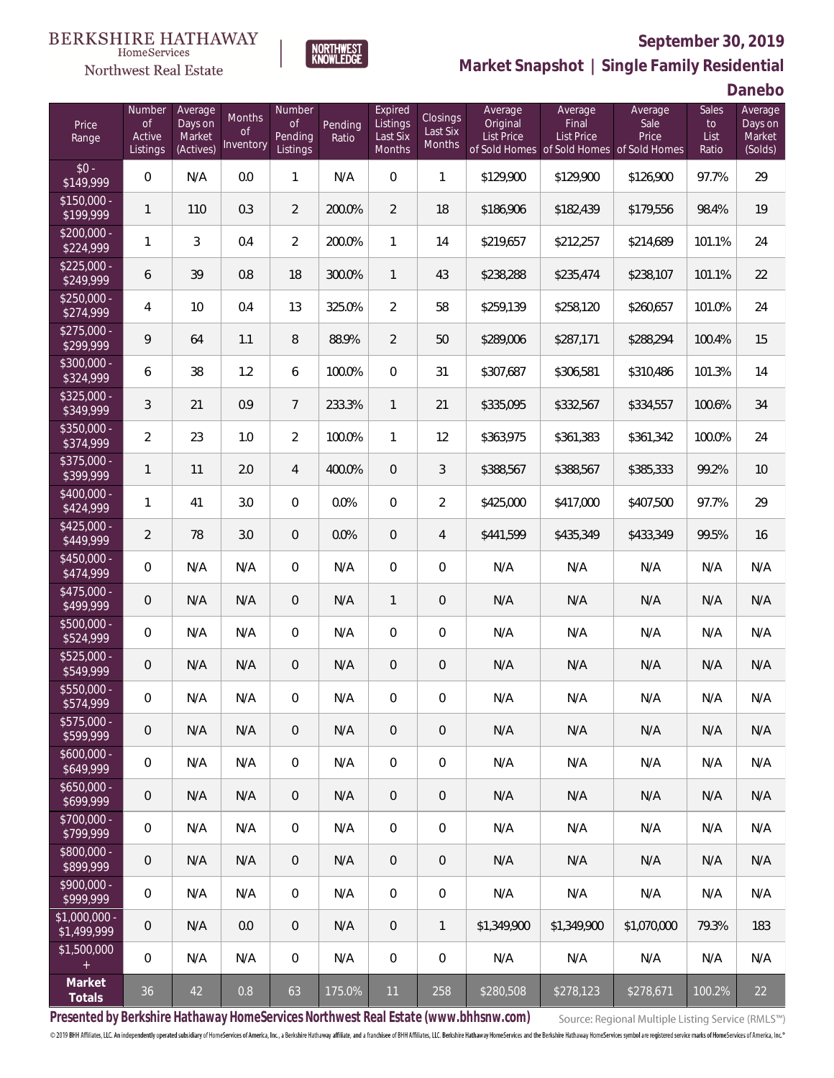

Northwest Real Estate

**Market Snapshot | Single Family Residential**

**Danebo**

| Price<br>Range                | Number<br><b>of</b><br>Active<br>Listings | Average<br>Days on<br>Market<br>(Actives) | Months<br>0f<br>Inventory | Number<br><b>of</b><br>Pending<br>Listings | Pending<br>Ratio | Expired<br>Listings<br>Last Six<br>Months | Closings<br>Last Six<br>Months | Average<br>Original<br>List Price | Average<br>Final<br>List Price<br>of Sold Homes of Sold Homes of Sold Homes | Average<br>Sale<br>Price | Sales<br>to<br>List<br>Ratio | Average<br>Days on<br>Market<br>(Solds) |
|-------------------------------|-------------------------------------------|-------------------------------------------|---------------------------|--------------------------------------------|------------------|-------------------------------------------|--------------------------------|-----------------------------------|-----------------------------------------------------------------------------|--------------------------|------------------------------|-----------------------------------------|
| $$0 -$<br>\$149,999           | $\overline{0}$                            | N/A                                       | 0.0                       | $\mathbf{1}$                               | N/A              | $\Omega$                                  | $\mathbf{1}$                   | \$129,900                         | \$129,900                                                                   | \$126,900                | 97.7%                        | 29                                      |
| $$150,000 -$<br>\$199,999     | 1                                         | 110                                       | 0.3                       | $\overline{2}$                             | 200.0%           | $\overline{2}$                            | 18                             | \$186,906                         | \$182,439                                                                   | \$179,556                | 98.4%                        | 19                                      |
| $$200,000 -$<br>\$224,999     | 1                                         | 3                                         | 0.4                       | $\overline{2}$                             | 200.0%           | 1                                         | 14                             | \$219,657                         | \$212,257                                                                   | \$214,689                | 101.1%                       | 24                                      |
| $$225,000 -$<br>\$249,999     | 6                                         | 39                                        | 0.8                       | 18                                         | 300.0%           | 1                                         | 43                             | \$238,288                         | \$235,474                                                                   | \$238,107                | 101.1%                       | 22                                      |
| $$250,000 -$<br>\$274,999     | 4                                         | 10                                        | 0.4                       | 13                                         | 325.0%           | $\overline{2}$                            | 58                             | \$259,139                         | \$258,120                                                                   | \$260,657                | 101.0%                       | 24                                      |
| $$275,000 -$<br>\$299,999     | 9                                         | 64                                        | 1.1                       | 8                                          | 88.9%            | $\overline{2}$                            | 50                             | \$289,006                         | \$287,171                                                                   | \$288,294                | 100.4%                       | 15                                      |
| \$300,000 -<br>\$324,999      | 6                                         | 38                                        | 1.2                       | 6                                          | 100.0%           | $\Omega$                                  | 31                             | \$307,687                         | \$306,581                                                                   | \$310,486                | 101.3%                       | 14                                      |
| $$325,000 -$<br>\$349,999     | 3                                         | 21                                        | 0.9                       | $\overline{7}$                             | 233.3%           | $\mathbf{1}$                              | 21                             | \$335,095                         | \$332,567                                                                   | \$334,557                | 100.6%                       | 34                                      |
| \$350,000 -<br>\$374,999      | $\overline{a}$                            | 23                                        | 1.0                       | $\overline{2}$                             | 100.0%           | $\mathbf{1}$                              | 12                             | \$363,975                         | \$361,383                                                                   | \$361,342                | 100.0%                       | 24                                      |
| \$375,000 -<br>\$399,999      | 1                                         | 11                                        | 2.0                       | $\overline{4}$                             | 400.0%           | $\Omega$                                  | 3                              | \$388,567                         | \$388,567                                                                   | \$385,333                | 99.2%                        | 10                                      |
| \$400,000 -<br>\$424,999      | 1                                         | 41                                        | 3.0                       | $\overline{0}$                             | 0.0%             | $\Omega$                                  | $\overline{2}$                 | \$425,000                         | \$417,000                                                                   | \$407,500                | 97.7%                        | 29                                      |
| $$425,000 -$<br>\$449,999     | $\overline{2}$                            | 78                                        | 3.0                       | $\overline{0}$                             | 0.0%             | $\Omega$                                  | $\overline{4}$                 | \$441,599                         | \$435,349                                                                   | \$433,349                | 99.5%                        | 16                                      |
| \$450,000 -<br>\$474,999      | $\overline{0}$                            | N/A                                       | N/A                       | $\overline{0}$                             | N/A              | $\overline{0}$                            | 0                              | N/A                               | N/A                                                                         | N/A                      | N/A                          | N/A                                     |
| $$475,000 -$<br>\$499,999     | $\mathbf 0$                               | N/A                                       | N/A                       | $\overline{0}$                             | N/A              | $\mathbf{1}$                              | $\overline{0}$                 | N/A                               | N/A                                                                         | N/A                      | N/A                          | N/A                                     |
| $$500,000 -$<br>\$524,999     | $\overline{0}$                            | N/A                                       | N/A                       | $\overline{0}$                             | N/A              | $\overline{0}$                            | 0                              | N/A                               | N/A                                                                         | N/A                      | N/A                          | N/A                                     |
| $$525,000 -$<br>\$549,999     | 0                                         | N/A                                       | N/A                       | $\overline{0}$                             | N/A              | $\overline{0}$                            | 0                              | N/A                               | N/A                                                                         | N/A                      | N/A                          | N/A                                     |
| \$550,000 -<br>\$574,999      | 0                                         | N/A                                       | N/A                       | $\overline{0}$                             | N/A              | 0                                         | 0                              | N/A                               | N/A                                                                         | N/A                      | N/A                          | N/A                                     |
| $$575,000 -$<br>\$599,999     | 0                                         | N/A                                       | N/A                       | $\theta$                                   | N/A              | $\theta$                                  | 0                              | N/A                               | N/A                                                                         | N/A                      | N/A                          | N/A                                     |
| $$600,000 -$<br>\$649,999     | 0                                         | N/A                                       | N/A                       | 0                                          | N/A              | $\mathbf{0}$                              | 0                              | N/A                               | N/A                                                                         | N/A                      | N/A                          | N/A                                     |
| $$650,000 -$<br>\$699,999     | 0                                         | N/A                                       | N/A                       | $\overline{0}$                             | N/A              | $\mathbf{0}$                              | 0                              | N/A                               | N/A                                                                         | N/A                      | N/A                          | N/A                                     |
| $$700,000 -$<br>\$799,999     | 0                                         | N/A                                       | N/A                       | 0                                          | N/A              | $\mathbf{0}$                              | 0                              | N/A                               | N/A                                                                         | N/A                      | N/A                          | N/A                                     |
| $$800,000 -$<br>\$899,999     | 0                                         | N/A                                       | N/A                       | $\overline{0}$                             | N/A              | $\mathbf{0}$                              | 0                              | N/A                               | N/A                                                                         | N/A                      | N/A                          | N/A                                     |
| $$900,000 -$<br>\$999,999     | 0                                         | N/A                                       | N/A                       | 0                                          | N/A              | $\mathbf{0}$                              | 0                              | N/A                               | N/A                                                                         | N/A                      | N/A                          | N/A                                     |
| $$1,000,000 -$<br>\$1,499,999 | $\theta$                                  | N/A                                       | 0.0                       | $\overline{0}$                             | N/A              | $\theta$                                  | $\mathbf{1}$                   | \$1,349,900                       | \$1,349,900                                                                 | \$1,070,000              | 79.3%                        | 183                                     |
| \$1,500,000<br>$\pm$          | 0                                         | N/A                                       | N/A                       | 0                                          | N/A              | $\boldsymbol{0}$                          | 0                              | N/A                               | N/A                                                                         | N/A                      | N/A                          | N/A                                     |
| Market<br>Totals              | 36                                        | 42                                        | 0.8                       | 63                                         | 175.0%           | 11                                        | 258                            | \$280,508                         | \$278,123                                                                   | \$278,671                | 100.2%                       | 22                                      |

**NORTHWEST**<br>KNOWLEDGE

**Presented by Berkshire Hathaway HomeServices Northwest Real Estate (www.bhhsnw.com)**

Source: Regional Multiple Listing Service (RMLS™)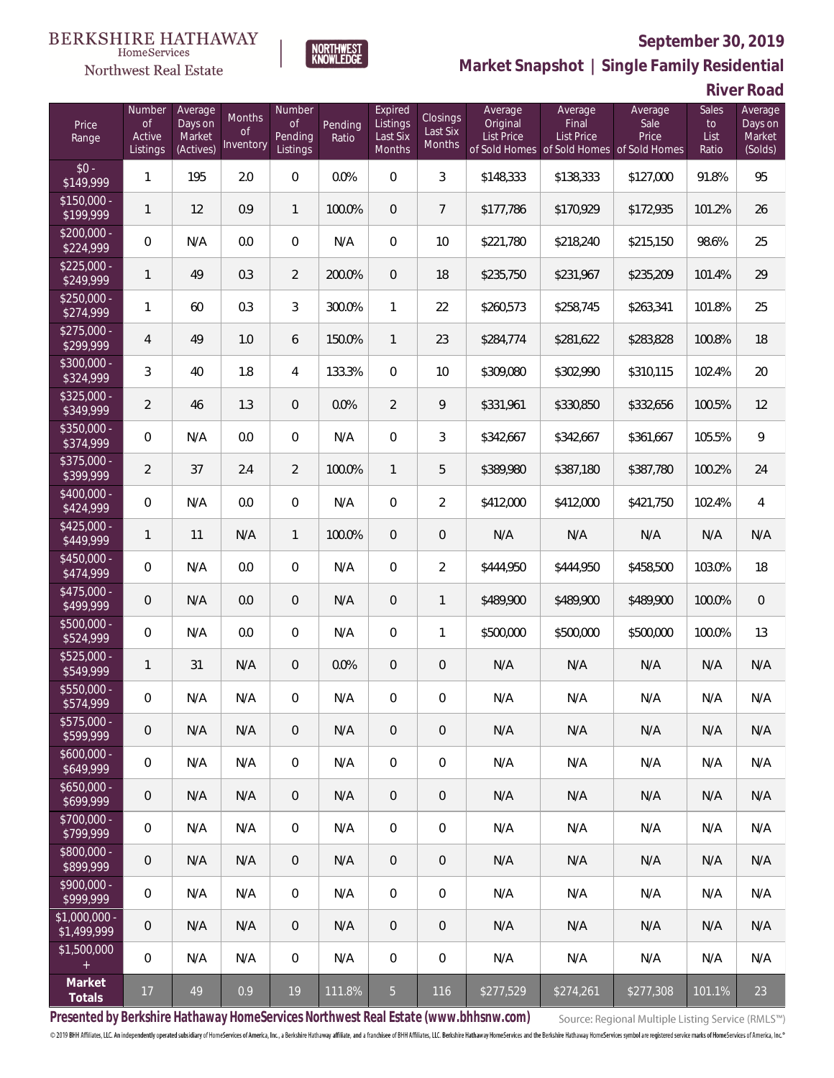

**NORTHWEST**<br>KNOWLEDGE

Northwest Real Estate

**Market Snapshot | Single Family Residential**

**River Road**

| Price<br>Range                | Number<br><b>of</b><br>Active<br>Listings | Average<br>Days on<br>Market<br>(Actives) | Months<br><b>of</b><br>Inventory | Number<br><b>of</b><br>Pending<br>Listings | Pending<br>Ratio | Expired<br>Listings<br>Last Six<br>Months | Closings<br>Last Six<br>Months | Average<br>Original<br><b>List Price</b> | Average<br>Final<br><b>List Price</b><br>of Sold Homes of Sold Homes | Average<br>Sale<br>Price<br>of Sold Homes | Sales<br>to<br>List<br>Ratio | Average<br>Days on<br>Market<br>(Solds) |
|-------------------------------|-------------------------------------------|-------------------------------------------|----------------------------------|--------------------------------------------|------------------|-------------------------------------------|--------------------------------|------------------------------------------|----------------------------------------------------------------------|-------------------------------------------|------------------------------|-----------------------------------------|
| $$0 -$<br>\$149,999           | $\mathbf{1}$                              | 195                                       | 2.0                              | $\overline{0}$                             | 0.0%             | $\Omega$                                  | $\mathfrak{Z}$                 | \$148,333                                | \$138,333                                                            | \$127,000                                 | 91.8%                        | 95                                      |
| $$150,000 -$<br>\$199,999     | $\mathbf{1}$                              | 12                                        | 0.9                              | $\mathbf{1}$                               | 100.0%           | $\overline{0}$                            | $7\overline{ }$                | \$177,786                                | \$170,929                                                            | \$172,935                                 | 101.2%                       | 26                                      |
| $$200,000 -$<br>\$224,999     | 0                                         | N/A                                       | 0.0                              | $\overline{0}$                             | N/A              | $\mathbf{0}$                              | 10                             | \$221,780                                | \$218,240                                                            | \$215,150                                 | 98.6%                        | 25                                      |
| $$225,000 -$<br>\$249,999     | $\mathbf{1}$                              | 49                                        | 0.3                              | $\overline{2}$                             | 200.0%           | $\overline{0}$                            | 18                             | \$235,750                                | \$231,967                                                            | \$235,209                                 | 101.4%                       | 29                                      |
| $$250,000 -$<br>\$274,999     | 1                                         | 60                                        | 0.3                              | 3                                          | 300.0%           | $\mathbf{1}$                              | 22                             | \$260,573                                | \$258,745                                                            | \$263,341                                 | 101.8%                       | 25                                      |
| $$275,000 -$<br>\$299,999     | $\overline{4}$                            | 49                                        | 1.0                              | 6                                          | 150.0%           | $\overline{1}$                            | 23                             | \$284,774                                | \$281,622                                                            | \$283,828                                 | 100.8%                       | 18                                      |
| $$300,000 -$<br>\$324,999     | 3                                         | 40                                        | 1.8                              | 4                                          | 133.3%           | $\overline{0}$                            | 10                             | \$309,080                                | \$302,990                                                            | \$310,115                                 | 102.4%                       | 20                                      |
| $$325,000 -$<br>\$349,999     | $\overline{2}$                            | 46                                        | 1.3                              | $\overline{0}$                             | 0.0%             | $\overline{2}$                            | 9                              | \$331,961                                | \$330,850                                                            | \$332,656                                 | 100.5%                       | 12                                      |
| $$350,000 -$<br>\$374,999     | 0                                         | N/A                                       | 0.0                              | $\overline{0}$                             | N/A              | $\mathbf 0$                               | 3                              | \$342,667                                | \$342,667                                                            | \$361,667                                 | 105.5%                       | 9                                       |
| $$375,000 -$<br>\$399,999     | $\overline{2}$                            | 37                                        | 2.4                              | $\overline{2}$                             | 100.0%           | $\mathbf{1}$                              | 5                              | \$389,980                                | \$387,180                                                            | \$387,780                                 | 100.2%                       | 24                                      |
| \$400,000 -<br>\$424,999      | $\overline{0}$                            | N/A                                       | 0.0                              | $\overline{0}$                             | N/A              | $\overline{0}$                            | $\overline{2}$                 | \$412,000                                | \$412,000                                                            | \$421,750                                 | 102.4%                       | 4                                       |
| $$425,000 -$<br>\$449,999     | $\mathbf{1}$                              | 11                                        | N/A                              | $\mathbf{1}$                               | 100.0%           | $\overline{0}$                            | $\theta$                       | N/A                                      | N/A                                                                  | N/A                                       | N/A                          | N/A                                     |
| $$450,000 -$<br>\$474,999     | 0                                         | N/A                                       | 0.0                              | $\overline{0}$                             | N/A              | $\overline{0}$                            | $\overline{2}$                 | \$444,950                                | \$444,950                                                            | \$458,500                                 | 103.0%                       | 18                                      |
| \$475,000 -<br>\$499,999      | $\overline{0}$                            | N/A                                       | 0.0                              | $\overline{0}$                             | N/A              | $\overline{0}$                            | $\mathbf{1}$                   | \$489,900                                | \$489,900                                                            | \$489,900                                 | 100.0%                       | $\boldsymbol{0}$                        |
| $$500,000 -$<br>\$524,999     | $\overline{0}$                            | N/A                                       | 0.0                              | $\overline{0}$                             | N/A              | $\overline{0}$                            | 1                              | \$500,000                                | \$500,000                                                            | \$500,000                                 | 100.0%                       | 13                                      |
| $$525,000 -$<br>\$549,999     | $\mathbf{1}$                              | 31                                        | N/A                              | $\overline{0}$                             | 0.0%             | $\overline{0}$                            | $\theta$                       | N/A                                      | N/A                                                                  | N/A                                       | N/A                          | N/A                                     |
| \$550,000 -<br>\$574,999      | 0                                         | N/A                                       | N/A                              | 0                                          | N/A              | 0                                         | $\mathbf 0$                    | N/A                                      | N/A                                                                  | N/A                                       | N/A                          | N/A                                     |
| $$575,000 -$<br>\$599,999     | $\mathbf 0$                               | N/A                                       | N/A                              | 0                                          | N/A              | 0                                         | $\overline{0}$                 | N/A                                      | N/A                                                                  | N/A                                       | N/A                          | N/A                                     |
| $$600,000 -$<br>\$649,999     | 0                                         | N/A                                       | N/A                              | $\overline{0}$                             | N/A              | $\mathbf 0$                               | $\boldsymbol{0}$               | N/A                                      | N/A                                                                  | N/A                                       | N/A                          | N/A                                     |
| $$650,000 -$<br>\$699,999     | $\mathsf{O}\xspace$                       | N/A                                       | N/A                              | $\overline{0}$                             | N/A              | $\mathbf{0}$                              | $\overline{0}$                 | N/A                                      | N/A                                                                  | N/A                                       | N/A                          | N/A                                     |
| \$700,000 -<br>\$799,999      | 0                                         | N/A                                       | N/A                              | 0                                          | N/A              | $\mathbf 0$                               | $\boldsymbol{0}$               | N/A                                      | N/A                                                                  | N/A                                       | N/A                          | N/A                                     |
| \$800,000 -<br>\$899,999      | $\mathsf{O}\xspace$                       | N/A                                       | N/A                              | $\overline{0}$                             | N/A              | $\mathbf{0}$                              | $\overline{0}$                 | N/A                                      | N/A                                                                  | N/A                                       | N/A                          | N/A                                     |
| \$900,000 -<br>\$999,999      | 0                                         | N/A                                       | N/A                              | 0                                          | N/A              | $\mathbf 0$                               | 0                              | N/A                                      | N/A                                                                  | N/A                                       | N/A                          | N/A                                     |
| $$1,000,000$ -<br>\$1,499,999 | 0                                         | N/A                                       | N/A                              | $\overline{0}$                             | N/A              | $\mathbf{0}$                              | $\overline{0}$                 | N/A                                      | N/A                                                                  | N/A                                       | N/A                          | N/A                                     |
| \$1,500,000<br>$\pm$          | 0                                         | N/A                                       | N/A                              | 0                                          | N/A              | $\mathbf 0$                               | $\,0\,$                        | N/A                                      | N/A                                                                  | N/A                                       | N/A                          | N/A                                     |
| Market<br>Totals              | 17                                        | 49                                        | 0.9                              | 19                                         | 111.8%           | 5 <sub>5</sub>                            | 116                            | \$277,529                                | \$274,261                                                            | \$277,308                                 | 101.1%                       | 23                                      |

**Presented by Berkshire Hathaway HomeServices Northwest Real Estate (www.bhhsnw.com)**

Source: Regional Multiple Listing Service (RMLS™)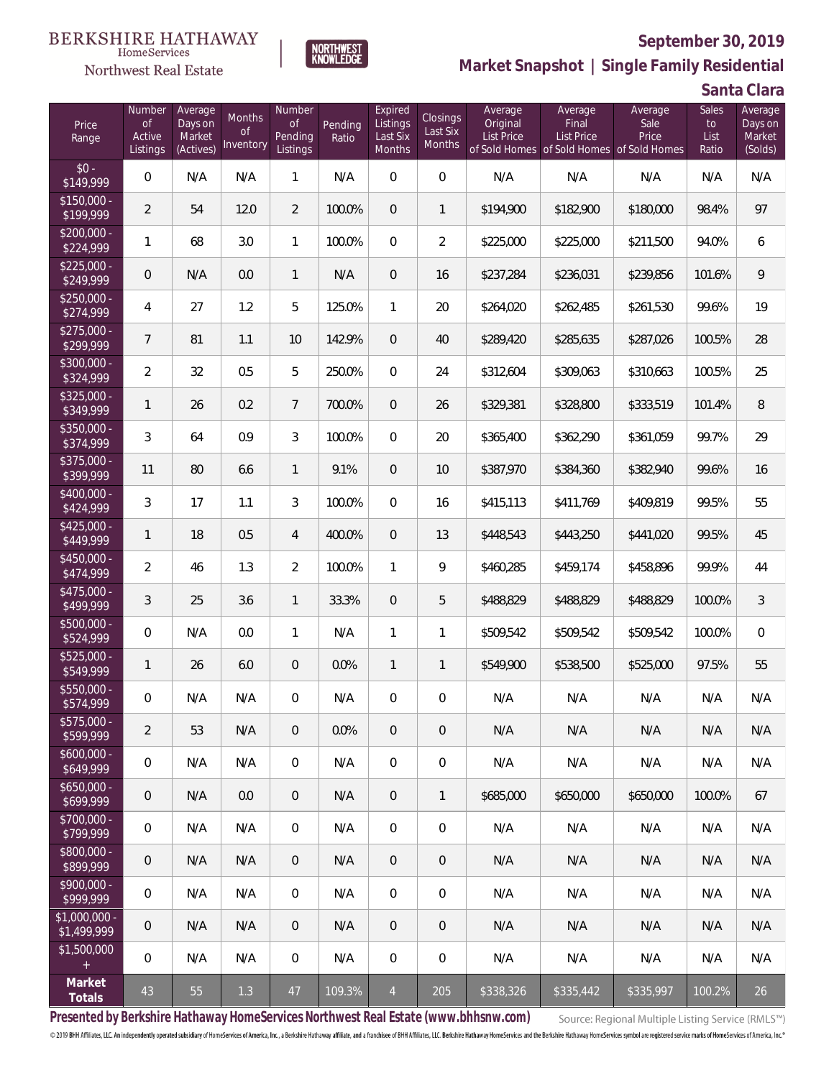

**NORTHWEST**<br>KNOWLEDGE

Northwest Real Estate

**Market Snapshot | Single Family Residential**

**Santa Clara**

| Price<br>Range                   | Number<br>of<br>Active<br>Listings | Average<br>Days on<br>Market<br>(Actives) | Months<br>0f<br>Inventory | Number<br>0f<br>Pending<br>Listings | Pending<br>Ratio | Expired<br>Listings<br>Last Six<br><b>Months</b> | Closings<br>Last Six<br>Months | Average<br>Original<br><b>List Price</b> | Average<br>Final<br>List Price<br>of Sold Homes of Sold Homes of Sold Homes | Average<br>Sale<br>Price | Sales<br>to<br>List<br>Ratio | Average<br>Days on<br>Market<br>(Solds) |
|----------------------------------|------------------------------------|-------------------------------------------|---------------------------|-------------------------------------|------------------|--------------------------------------------------|--------------------------------|------------------------------------------|-----------------------------------------------------------------------------|--------------------------|------------------------------|-----------------------------------------|
| $$0 -$<br>\$149,999              | 0                                  | N/A                                       | N/A                       | $\mathbf{1}$                        | N/A              | $\overline{0}$                                   | $\mathbf 0$                    | N/A                                      | N/A                                                                         | N/A                      | N/A                          | N/A                                     |
| $\sqrt{$150,000}$ -<br>\$199,999 | $\overline{2}$                     | 54                                        | 12.0                      | $\overline{2}$                      | 100.0%           | $\overline{0}$                                   | 1                              | \$194,900                                | \$182,900                                                                   | \$180,000                | 98.4%                        | 97                                      |
| $$200.000 -$<br>\$224,999        | 1                                  | 68                                        | 3.0                       | $\mathbf{1}$                        | 100.0%           | 0                                                | $\overline{2}$                 | \$225,000                                | \$225,000                                                                   | \$211,500                | 94.0%                        | 6                                       |
| $$225.000 -$<br>\$249,999        | 0                                  | N/A                                       | 0.0                       | $\mathbf{1}$                        | N/A              | $\overline{0}$                                   | 16                             | \$237,284                                | \$236,031                                                                   | \$239,856                | 101.6%                       | $\,9$                                   |
| $$250.000 -$<br>\$274,999        | 4                                  | 27                                        | 1.2                       | 5                                   | 125.0%           | $\mathbf{1}$                                     | 20                             | \$264,020                                | \$262,485                                                                   | \$261,530                | 99.6%                        | 19                                      |
| $$275,000 -$<br>\$299,999        | $\overline{7}$                     | 81                                        | 1.1                       | 10                                  | 142.9%           | $\overline{0}$                                   | 40                             | \$289,420                                | \$285,635                                                                   | \$287,026                | 100.5%                       | 28                                      |
| $$300,000 -$<br>\$324,999        | $\overline{2}$                     | 32                                        | 0.5                       | 5                                   | 250.0%           | $\overline{0}$                                   | 24                             | \$312,604                                | \$309,063                                                                   | \$310,663                | 100.5%                       | 25                                      |
| $$325,000 -$<br>\$349,999        | 1                                  | 26                                        | 0.2                       | $7\overline{ }$                     | 700.0%           | $\overline{0}$                                   | 26                             | \$329,381                                | \$328,800                                                                   | \$333,519                | 101.4%                       | 8                                       |
| $$350,000 -$<br>\$374,999        | 3                                  | 64                                        | 0.9                       | 3                                   | 100.0%           | $\overline{0}$                                   | 20                             | \$365,400                                | \$362,290                                                                   | \$361,059                | 99.7%                        | 29                                      |
| $$375,000 -$<br>\$399,999        | 11                                 | 80                                        | 6.6                       | $\mathbf{1}$                        | 9.1%             | $\overline{0}$                                   | 10                             | \$387,970                                | \$384,360                                                                   | \$382,940                | 99.6%                        | 16                                      |
| $$400,000 -$<br>\$424,999        | 3                                  | 17                                        | 1.1                       | 3                                   | 100.0%           | 0                                                | 16                             | \$415,113                                | \$411,769                                                                   | \$409,819                | 99.5%                        | 55                                      |
| $$425,000 -$<br>\$449,999        | 1                                  | 18                                        | 0.5                       | $\overline{4}$                      | 400.0%           | $\overline{0}$                                   | 13                             | \$448,543                                | \$443,250                                                                   | \$441,020                | 99.5%                        | 45                                      |
| \$450,000 -<br>\$474,999         | $\overline{2}$                     | 46                                        | 1.3                       | $\overline{2}$                      | 100.0%           | 1                                                | 9                              | \$460,285                                | \$459,174                                                                   | \$458,896                | 99.9%                        | 44                                      |
| $$475,000 -$<br>\$499,999        | 3                                  | 25                                        | 3.6                       | $\mathbf{1}$                        | 33.3%            | $\overline{0}$                                   | 5                              | \$488,829                                | \$488,829                                                                   | \$488,829                | 100.0%                       | $\mathfrak{Z}$                          |
| \$500,000 -<br>\$524,999         | $\boldsymbol{0}$                   | N/A                                       | 0.0                       | $\mathbf{1}$                        | N/A              | 1                                                | 1                              | \$509,542                                | \$509,542                                                                   | \$509,542                | 100.0%                       | $\boldsymbol{0}$                        |
| \$525,000 -<br>\$549,999         | 1                                  | 26                                        | 6.0                       | $\boldsymbol{0}$                    | 0.0%             | $\mathbf{1}$                                     | 1                              | \$549,900                                | \$538,500                                                                   | \$525,000                | 97.5%                        | 55                                      |
| \$550,000 -<br>\$574,999         | 0                                  | N/A                                       | N/A                       | $\overline{0}$                      | N/A              | $\overline{0}$                                   | $\mathbf 0$                    | N/A                                      | N/A                                                                         | N/A                      | N/A                          | N/A                                     |
| $$575,000 -$<br>\$599,999        | 2                                  | 53                                        | N/A                       | $\overline{0}$                      | 0.0%             | $\overline{0}$                                   | $\overline{0}$                 | N/A                                      | N/A                                                                         | N/A                      | N/A                          | N/A                                     |
| $$600,000 -$<br>\$649,999        | 0                                  | N/A                                       | N/A                       | 0                                   | N/A              | 0                                                | $\mathbf{0}$                   | N/A                                      | N/A                                                                         | N/A                      | N/A                          | N/A                                     |
| $$650,000 -$<br>\$699,999        | $\mathbf 0$                        | N/A                                       | 0.0                       | $\overline{0}$                      | N/A              | $\overline{0}$                                   | $\mathbf{1}$                   | \$685,000                                | \$650,000                                                                   | \$650,000                | 100.0%                       | 67                                      |
| \$700,000 -<br>\$799,999         | 0                                  | N/A                                       | N/A                       | 0                                   | N/A              | $\mathbf{0}$                                     | $\mathbf{0}$                   | N/A                                      | N/A                                                                         | N/A                      | N/A                          | N/A                                     |
| \$800,000 -<br>\$899,999         | $\overline{0}$                     | N/A                                       | N/A                       | $\overline{0}$                      | N/A              | $\overline{0}$                                   | $\overline{0}$                 | N/A                                      | N/A                                                                         | N/A                      | N/A                          | N/A                                     |
| \$900,000 -<br>\$999,999         | 0                                  | N/A                                       | N/A                       | 0                                   | N/A              | $\mathbf{0}$                                     | $\mathbf{0}$                   | N/A                                      | N/A                                                                         | N/A                      | N/A                          | N/A                                     |
| $$1,000,000 -$<br>\$1,499,999    | $\mathbf 0$                        | N/A                                       | N/A                       | $\overline{0}$                      | N/A              | $\overline{0}$                                   | $\overline{0}$                 | N/A                                      | N/A                                                                         | N/A                      | N/A                          | N/A                                     |
| \$1,500,000<br>$+$               | 0                                  | N/A                                       | N/A                       | $\boldsymbol{0}$                    | N/A              | $\overline{0}$                                   | $\mathbf 0$                    | N/A                                      | N/A                                                                         | N/A                      | N/A                          | N/A                                     |
| Market<br>Totals                 | 43                                 | 55                                        | 1.3                       | 47                                  | 109.3%           | $\overline{4}$                                   | 205                            | \$338,326                                | \$335,442                                                                   | \$335,997                | 100.2%                       | 26                                      |

**Presented by Berkshire Hathaway HomeServices Northwest Real Estate (www.bhhsnw.com)**

Source: Regional Multiple Listing Service (RMLS™)